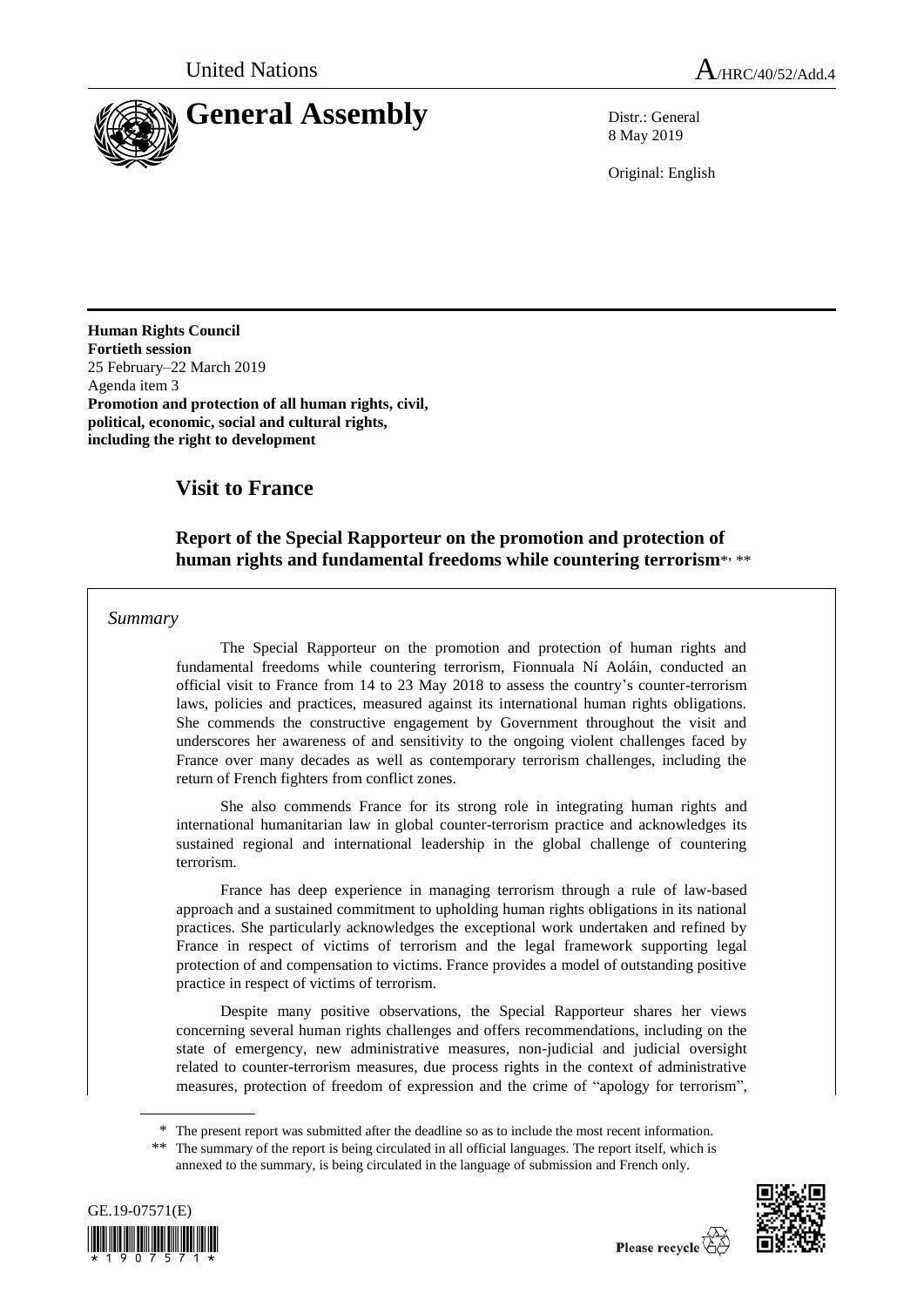

8 May 2019

Original: English

**Human Rights Council Fortieth session** 25 February–22 March 2019 Agenda item 3 **Promotion and protection of all human rights, civil, political, economic, social and cultural rights, including the right to development** 

# **Visit to France**

## **Report of the Special Rapporteur on the promotion and protection of**  human rights and fundamental freedoms while countering terrorism<sup>\*,\*\*</sup>

### *Summary*

The Special Rapporteur on the promotion and protection of human rights and fundamental freedoms while countering terrorism, Fionnuala Ní Aoláin, conducted an official visit to France from 14 to 23 May 2018 to assess the country's counter-terrorism laws, policies and practices, measured against its international human rights obligations. She commends the constructive engagement by Government throughout the visit and underscores her awareness of and sensitivity to the ongoing violent challenges faced by France over many decades as well as contemporary terrorism challenges, including the return of French fighters from conflict zones.

She also commends France for its strong role in integrating human rights and international humanitarian law in global counter-terrorism practice and acknowledges its sustained regional and international leadership in the global challenge of countering terrorism.

France has deep experience in managing terrorism through a rule of law-based approach and a sustained commitment to upholding human rights obligations in its national practices. She particularly acknowledges the exceptional work undertaken and refined by France in respect of victims of terrorism and the legal framework supporting legal protection of and compensation to victims. France provides a model of outstanding positive practice in respect of victims of terrorism.

Despite many positive observations, the Special Rapporteur shares her views concerning several human rights challenges and offers recommendations, including on the state of emergency, new administrative measures, non-judicial and judicial oversight related to counter-terrorism measures, due process rights in the context of administrative measures, protection of freedom of expression and the crime of "apology for terrorism",

\* The present report was submitted after the deadline so as to include the most recent information.

<sup>\*\*</sup> The summary of the report is being circulated in all official languages. The report itself, which is annexed to the summary, is being circulated in the language of submission and French only.



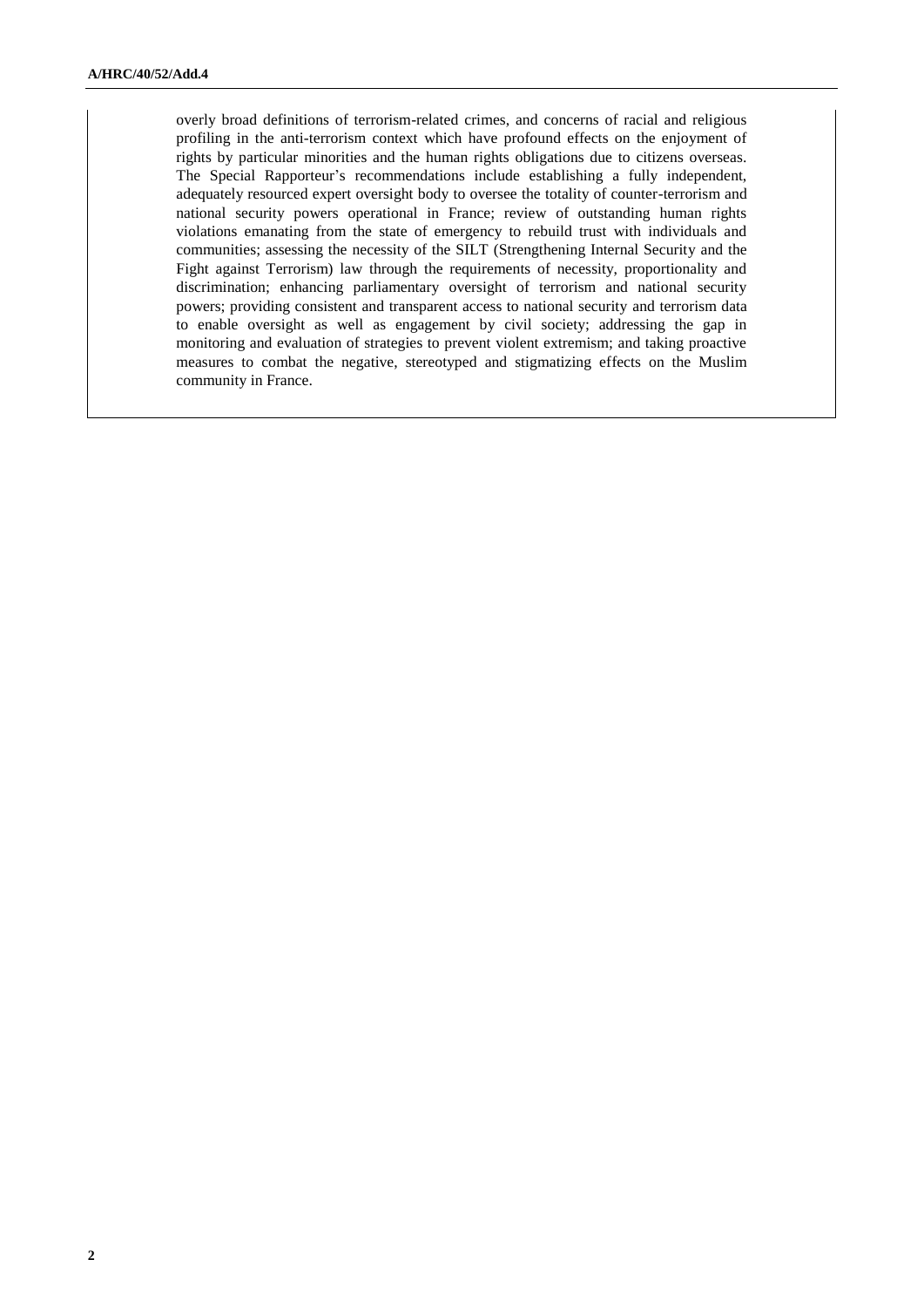overly broad definitions of terrorism-related crimes, and concerns of racial and religious profiling in the anti-terrorism context which have profound effects on the enjoyment of rights by particular minorities and the human rights obligations due to citizens overseas. The Special Rapporteur's recommendations include establishing a fully independent, adequately resourced expert oversight body to oversee the totality of counter-terrorism and national security powers operational in France; review of outstanding human rights violations emanating from the state of emergency to rebuild trust with individuals and communities; assessing the necessity of the SILT (Strengthening Internal Security and the Fight against Terrorism) law through the requirements of necessity, proportionality and discrimination; enhancing parliamentary oversight of terrorism and national security powers; providing consistent and transparent access to national security and terrorism data to enable oversight as well as engagement by civil society; addressing the gap in monitoring and evaluation of strategies to prevent violent extremism; and taking proactive measures to combat the negative, stereotyped and stigmatizing effects on the Muslim community in France.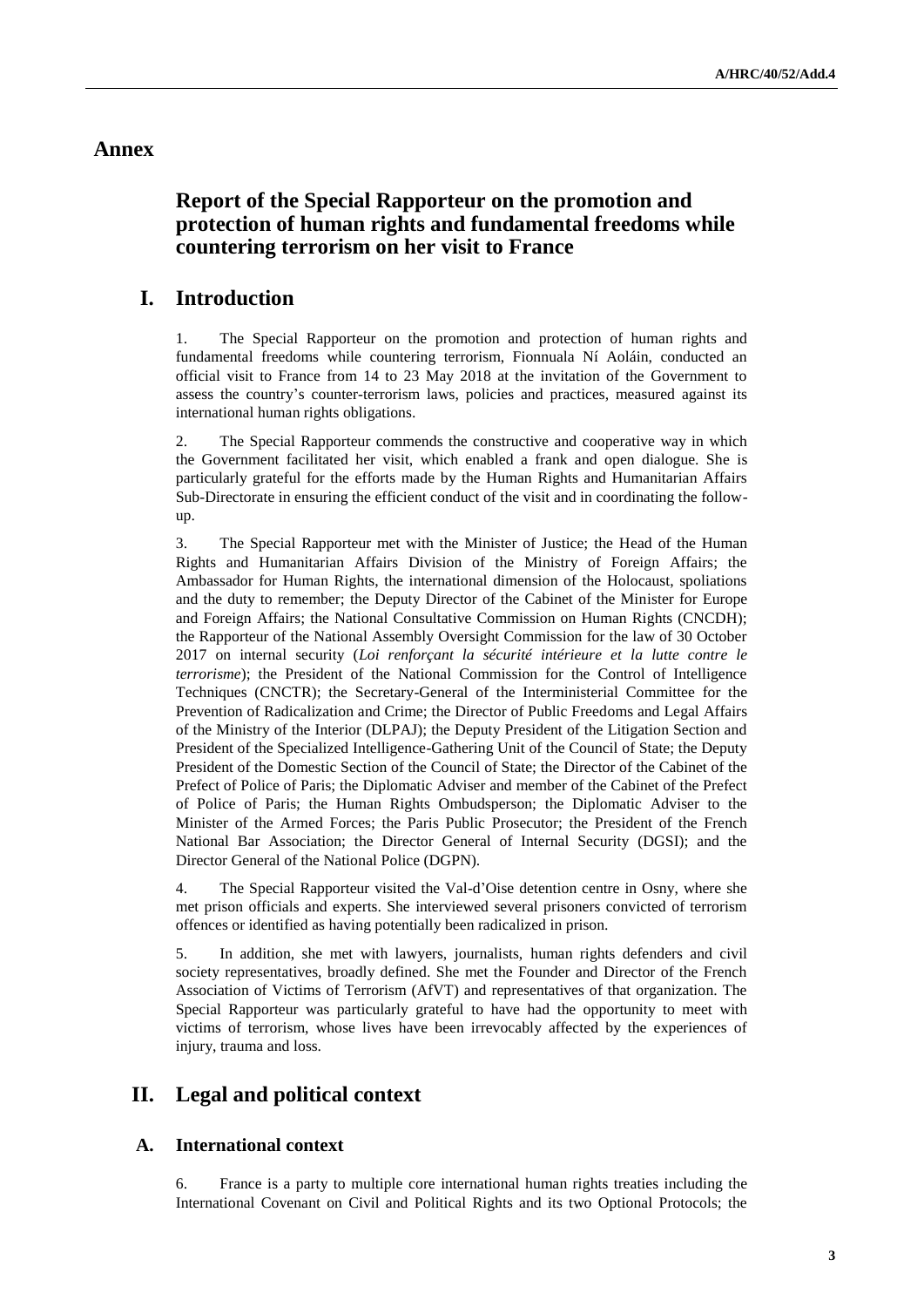### **Annex**

## **Report of the Special Rapporteur on the promotion and protection of human rights and fundamental freedoms while countering terrorism on her visit to France**

## **I. Introduction**

1. The Special Rapporteur on the promotion and protection of human rights and fundamental freedoms while countering terrorism, Fionnuala Ní Aoláin, conducted an official visit to France from 14 to 23 May 2018 at the invitation of the Government to assess the country's counter-terrorism laws, policies and practices, measured against its international human rights obligations.

2. The Special Rapporteur commends the constructive and cooperative way in which the Government facilitated her visit, which enabled a frank and open dialogue. She is particularly grateful for the efforts made by the Human Rights and Humanitarian Affairs Sub-Directorate in ensuring the efficient conduct of the visit and in coordinating the followup.

3. The Special Rapporteur met with the Minister of Justice; the Head of the Human Rights and Humanitarian Affairs Division of the Ministry of Foreign Affairs; the Ambassador for Human Rights, the international dimension of the Holocaust, spoliations and the duty to remember; the Deputy Director of the Cabinet of the Minister for Europe and Foreign Affairs; the National Consultative Commission on Human Rights (CNCDH); the Rapporteur of the National Assembly Oversight Commission for the law of 30 October 2017 on internal security (*Loi renforçant la sécurité intérieure et la lutte contre le terrorisme*); the President of the National Commission for the Control of Intelligence Techniques (CNCTR); the Secretary-General of the Interministerial Committee for the Prevention of Radicalization and Crime; the Director of Public Freedoms and Legal Affairs of the Ministry of the Interior (DLPAJ); the Deputy President of the Litigation Section and President of the Specialized Intelligence-Gathering Unit of the Council of State; the Deputy President of the Domestic Section of the Council of State; the Director of the Cabinet of the Prefect of Police of Paris; the Diplomatic Adviser and member of the Cabinet of the Prefect of Police of Paris; the Human Rights Ombudsperson; the Diplomatic Adviser to the Minister of the Armed Forces; the Paris Public Prosecutor; the President of the French National Bar Association; the Director General of Internal Security (DGSI); and the Director General of the National Police (DGPN).

4. The Special Rapporteur visited the Val-d'Oise detention centre in Osny, where she met prison officials and experts. She interviewed several prisoners convicted of terrorism offences or identified as having potentially been radicalized in prison.

5. In addition, she met with lawyers, journalists, human rights defenders and civil society representatives, broadly defined. She met the Founder and Director of the French Association of Victims of Terrorism (AfVT) and representatives of that organization. The Special Rapporteur was particularly grateful to have had the opportunity to meet with victims of terrorism, whose lives have been irrevocably affected by the experiences of injury, trauma and loss.

## **II. Legal and political context**

### **A. International context**

6. France is a party to multiple core international human rights treaties including the International Covenant on Civil and Political Rights and its two Optional Protocols; the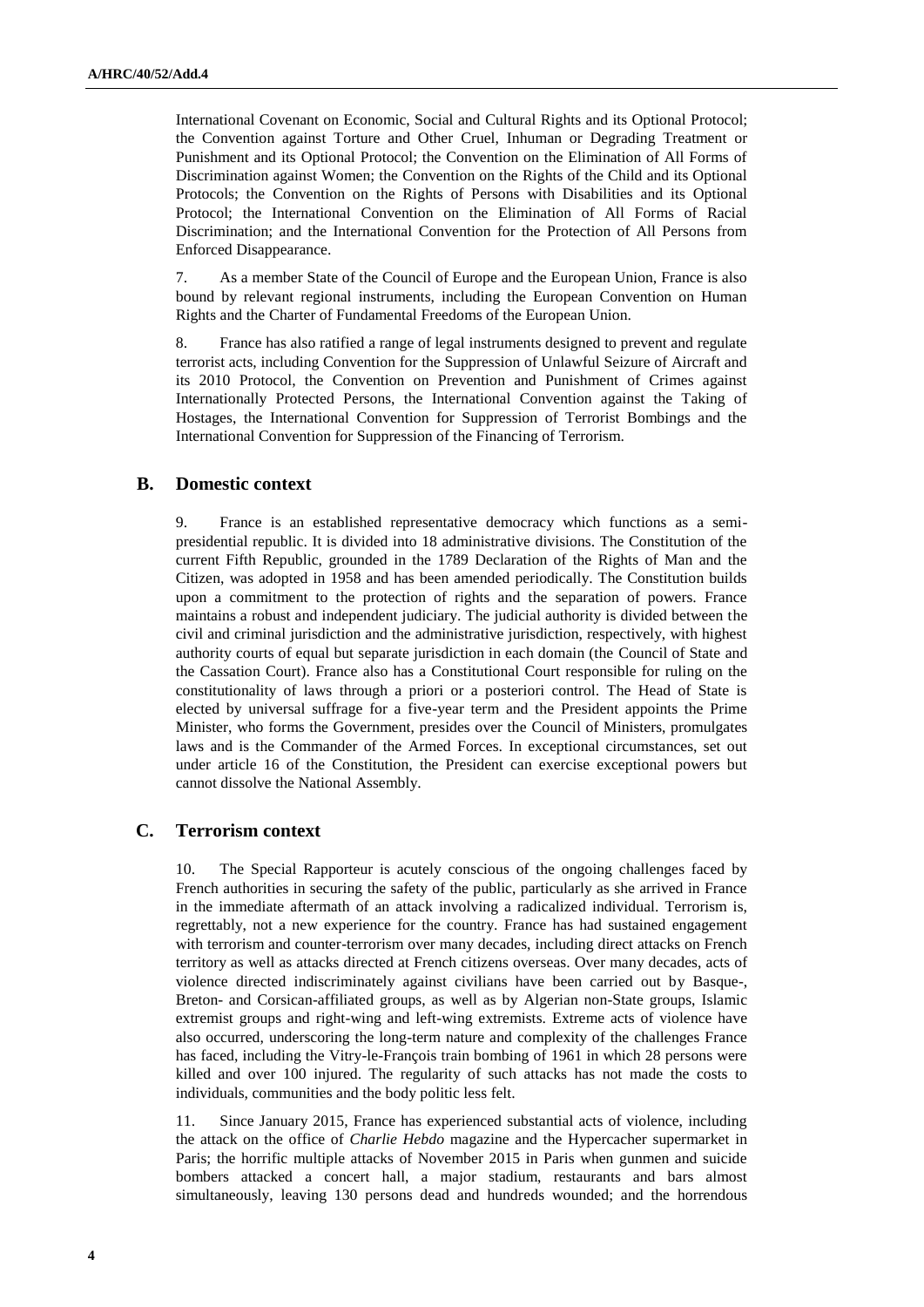International Covenant on Economic, Social and Cultural Rights and its Optional Protocol; the Convention against Torture and Other Cruel, Inhuman or Degrading Treatment or Punishment and its Optional Protocol; the Convention on the Elimination of All Forms of Discrimination against Women; the Convention on the Rights of the Child and its Optional Protocols; the Convention on the Rights of Persons with Disabilities and its Optional Protocol; the International Convention on the Elimination of All Forms of Racial Discrimination; and the International Convention for the Protection of All Persons from Enforced Disappearance.

7. As a member State of the Council of Europe and the European Union, France is also bound by relevant regional instruments, including the European Convention on Human Rights and the Charter of Fundamental Freedoms of the European Union.

8. France has also ratified a range of legal instruments designed to prevent and regulate terrorist acts, including Convention for the Suppression of Unlawful Seizure of Aircraft and its 2010 Protocol, the Convention on Prevention and Punishment of Crimes against Internationally Protected Persons, the International Convention against the Taking of Hostages, the International Convention for Suppression of Terrorist Bombings and the International Convention for Suppression of the Financing of Terrorism.

### **B. Domestic context**

9. France is an established representative democracy which functions as a semipresidential republic. It is divided into 18 administrative divisions. The Constitution of the current Fifth Republic, grounded in the 1789 Declaration of the Rights of Man and the Citizen, was adopted in 1958 and has been amended periodically. The Constitution builds upon a commitment to the protection of rights and the separation of powers. France maintains a robust and independent judiciary. The judicial authority is divided between the civil and criminal jurisdiction and the administrative jurisdiction, respectively, with highest authority courts of equal but separate jurisdiction in each domain (the Council of State and the Cassation Court). France also has a Constitutional Court responsible for ruling on the constitutionality of laws through a priori or a posteriori control. The Head of State is elected by universal suffrage for a five-year term and the President appoints the Prime Minister, who forms the Government, presides over the Council of Ministers, promulgates laws and is the Commander of the Armed Forces. In exceptional circumstances, set out under article 16 of the Constitution, the President can exercise exceptional powers but cannot dissolve the National Assembly.

### **C. Terrorism context**

10. The Special Rapporteur is acutely conscious of the ongoing challenges faced by French authorities in securing the safety of the public, particularly as she arrived in France in the immediate aftermath of an attack involving a radicalized individual. Terrorism is, regrettably, not a new experience for the country. France has had sustained engagement with terrorism and counter-terrorism over many decades, including direct attacks on French territory as well as attacks directed at French citizens overseas. Over many decades, acts of violence directed indiscriminately against civilians have been carried out by Basque-, Breton- and Corsican-affiliated groups, as well as by Algerian non-State groups, Islamic extremist groups and right-wing and left-wing extremists. Extreme acts of violence have also occurred, underscoring the long-term nature and complexity of the challenges France has faced, including the Vitry-le-François train bombing of 1961 in which 28 persons were killed and over 100 injured. The regularity of such attacks has not made the costs to individuals, communities and the body politic less felt.

11. Since January 2015, France has experienced substantial acts of violence, including the attack on the office of *Charlie Hebdo* magazine and the Hypercacher supermarket in Paris; the horrific multiple attacks of November 2015 in Paris when gunmen and suicide bombers attacked a concert hall, a major stadium, restaurants and bars almost simultaneously, leaving 130 persons dead and hundreds wounded; and the horrendous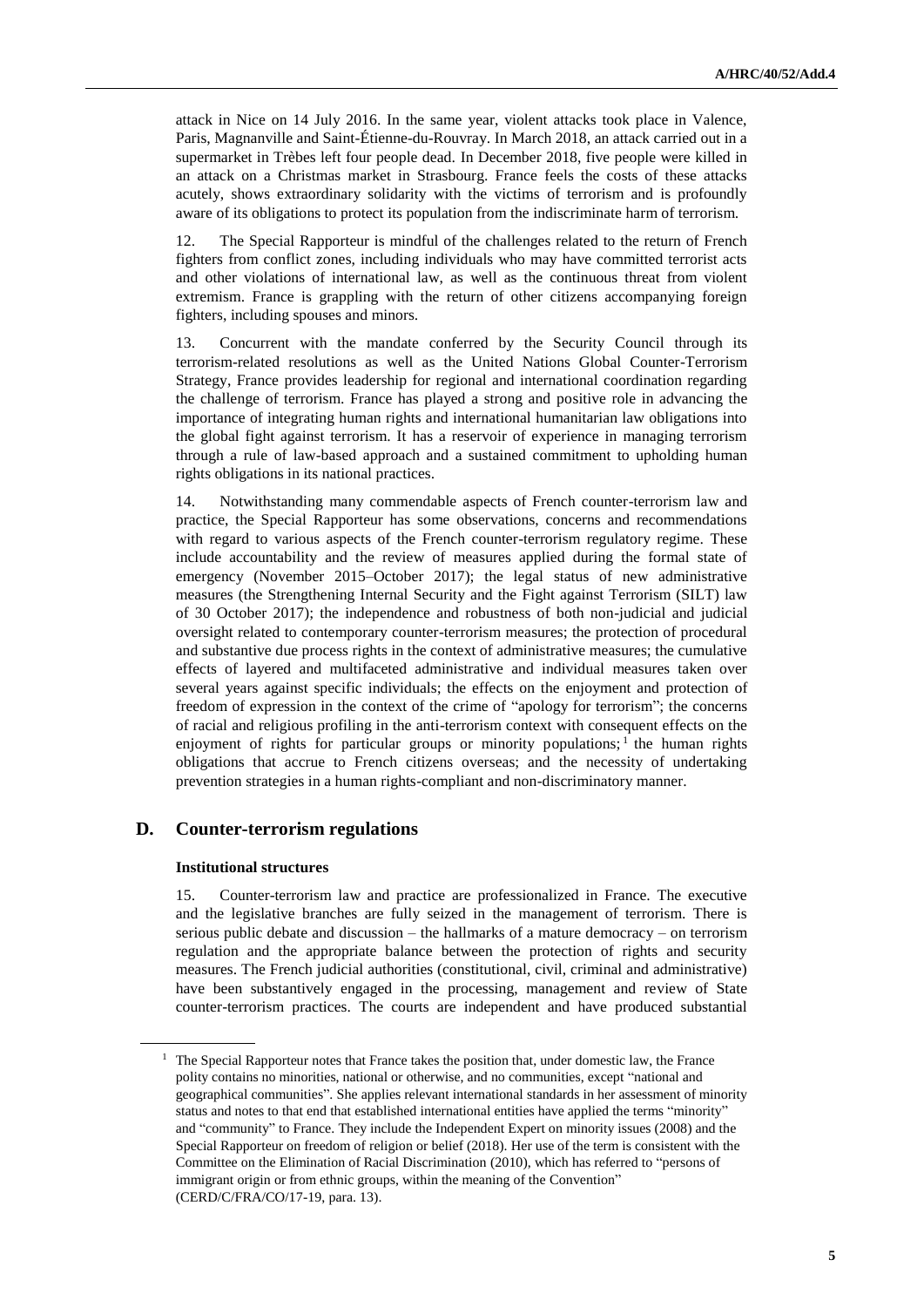attack in Nice on 14 July 2016. In the same year, violent attacks took place in Valence, Paris, Magnanville and Saint-Étienne-du-Rouvray. In March 2018, an attack carried out in a supermarket in Trèbes left four people dead. In December 2018, five people were killed in an attack on a Christmas market in Strasbourg. France feels the costs of these attacks acutely, shows extraordinary solidarity with the victims of terrorism and is profoundly aware of its obligations to protect its population from the indiscriminate harm of terrorism.

12. The Special Rapporteur is mindful of the challenges related to the return of French fighters from conflict zones, including individuals who may have committed terrorist acts and other violations of international law, as well as the continuous threat from violent extremism. France is grappling with the return of other citizens accompanying foreign fighters, including spouses and minors.

13. Concurrent with the mandate conferred by the Security Council through its terrorism-related resolutions as well as the United Nations Global Counter-Terrorism Strategy, France provides leadership for regional and international coordination regarding the challenge of terrorism. France has played a strong and positive role in advancing the importance of integrating human rights and international humanitarian law obligations into the global fight against terrorism. It has a reservoir of experience in managing terrorism through a rule of law-based approach and a sustained commitment to upholding human rights obligations in its national practices.

14. Notwithstanding many commendable aspects of French counter-terrorism law and practice, the Special Rapporteur has some observations, concerns and recommendations with regard to various aspects of the French counter-terrorism regulatory regime. These include accountability and the review of measures applied during the formal state of emergency (November 2015–October 2017); the legal status of new administrative measures (the Strengthening Internal Security and the Fight against Terrorism (SILT) law of 30 October 2017); the independence and robustness of both non-judicial and judicial oversight related to contemporary counter-terrorism measures; the protection of procedural and substantive due process rights in the context of administrative measures; the cumulative effects of layered and multifaceted administrative and individual measures taken over several years against specific individuals; the effects on the enjoyment and protection of freedom of expression in the context of the crime of "apology for terrorism"; the concerns of racial and religious profiling in the anti-terrorism context with consequent effects on the enjoyment of rights for particular groups or minority populations;<sup>1</sup> the human rights obligations that accrue to French citizens overseas; and the necessity of undertaking prevention strategies in a human rights-compliant and non-discriminatory manner.

### **D. Counter-terrorism regulations**

#### **Institutional structures**

15. Counter-terrorism law and practice are professionalized in France. The executive and the legislative branches are fully seized in the management of terrorism. There is serious public debate and discussion – the hallmarks of a mature democracy – on terrorism regulation and the appropriate balance between the protection of rights and security measures. The French judicial authorities (constitutional, civil, criminal and administrative) have been substantively engaged in the processing, management and review of State counter-terrorism practices. The courts are independent and have produced substantial

<sup>&</sup>lt;sup>1</sup> The Special Rapporteur notes that France takes the position that, under domestic law, the France polity contains no minorities, national or otherwise, and no communities, except "national and geographical communities". She applies relevant international standards in her assessment of minority status and notes to that end that established international entities have applied the terms "minority" and "community" to France. They include the Independent Expert on minority issues (2008) and the Special Rapporteur on freedom of religion or belief (2018). Her use of the term is consistent with the Committee on the Elimination of Racial Discrimination (2010), which has referred to "persons of immigrant origin or from ethnic groups, within the meaning of the Convention" (CERD/C/FRA/CO/17-19, para. 13).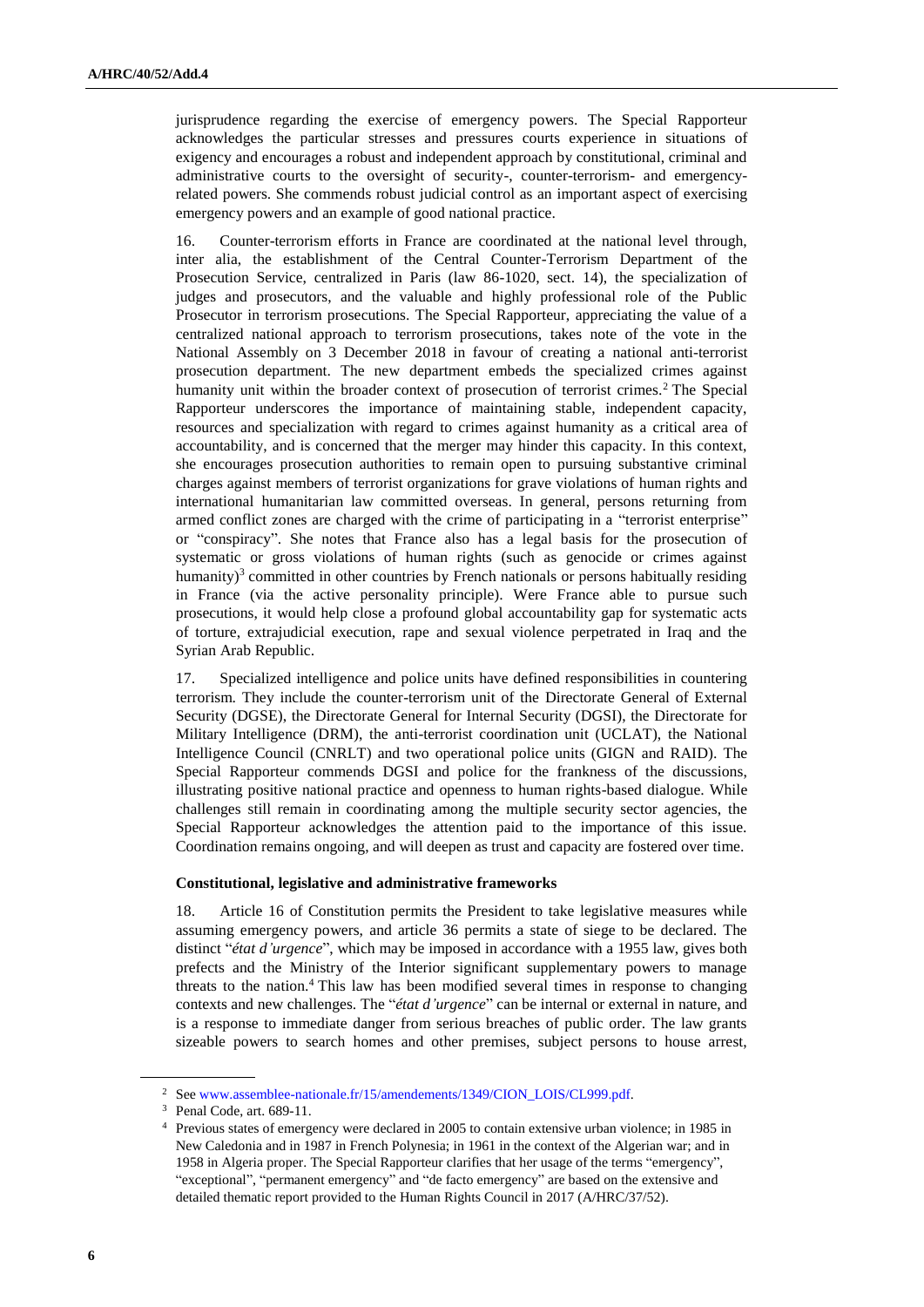jurisprudence regarding the exercise of emergency powers. The Special Rapporteur acknowledges the particular stresses and pressures courts experience in situations of exigency and encourages a robust and independent approach by constitutional, criminal and administrative courts to the oversight of security-, counter-terrorism- and emergencyrelated powers. She commends robust judicial control as an important aspect of exercising emergency powers and an example of good national practice.

16. Counter-terrorism efforts in France are coordinated at the national level through, inter alia, the establishment of the Central Counter-Terrorism Department of the Prosecution Service, centralized in Paris (law 86-1020, sect. 14), the specialization of judges and prosecutors, and the valuable and highly professional role of the Public Prosecutor in terrorism prosecutions. The Special Rapporteur, appreciating the value of a centralized national approach to terrorism prosecutions, takes note of the vote in the National Assembly on 3 December 2018 in favour of creating a national anti-terrorist prosecution department. The new department embeds the specialized crimes against humanity unit within the broader context of prosecution of terrorist crimes.<sup>2</sup> The Special Rapporteur underscores the importance of maintaining stable, independent capacity, resources and specialization with regard to crimes against humanity as a critical area of accountability, and is concerned that the merger may hinder this capacity. In this context, she encourages prosecution authorities to remain open to pursuing substantive criminal charges against members of terrorist organizations for grave violations of human rights and international humanitarian law committed overseas. In general, persons returning from armed conflict zones are charged with the crime of participating in a "terrorist enterprise" or "conspiracy". She notes that France also has a legal basis for the prosecution of systematic or gross violations of human rights (such as genocide or crimes against humanity)<sup>3</sup> committed in other countries by French nationals or persons habitually residing in France (via the active personality principle). Were France able to pursue such prosecutions, it would help close a profound global accountability gap for systematic acts of torture, extrajudicial execution, rape and sexual violence perpetrated in Iraq and the Syrian Arab Republic.

17. Specialized intelligence and police units have defined responsibilities in countering terrorism. They include the counter-terrorism unit of the Directorate General of External Security (DGSE), the Directorate General for Internal Security (DGSI), the Directorate for Military Intelligence (DRM), the anti-terrorist coordination unit (UCLAT), the National Intelligence Council (CNRLT) and two operational police units (GIGN and RAID). The Special Rapporteur commends DGSI and police for the frankness of the discussions, illustrating positive national practice and openness to human rights-based dialogue. While challenges still remain in coordinating among the multiple security sector agencies, the Special Rapporteur acknowledges the attention paid to the importance of this issue. Coordination remains ongoing, and will deepen as trust and capacity are fostered over time.

#### **Constitutional, legislative and administrative frameworks**

18. Article 16 of Constitution permits the President to take legislative measures while assuming emergency powers, and article 36 permits a state of siege to be declared. The distinct "*état d'urgence*", which may be imposed in accordance with a 1955 law, gives both prefects and the Ministry of the Interior significant supplementary powers to manage threats to the nation.<sup>4</sup> This law has been modified several times in response to changing contexts and new challenges. The "*état d'urgence*" can be internal or external in nature, and is a response to immediate danger from serious breaches of public order. The law grants sizeable powers to search homes and other premises, subject persons to house arrest,

<sup>&</sup>lt;sup>2</sup> Se[e www.assemblee-nationale.fr/15/amendements/1349/CION\\_LOIS/CL999.pdf.](http://www.assemblee-nationale.fr/15/amendements/1349/CION_LOIS/CL999.pdf)

<sup>3</sup> Penal Code, art. 689-11.

<sup>4</sup> Previous states of emergency were declared in 2005 to contain extensive urban violence; in 1985 in New Caledonia and in 1987 in French Polynesia; in 1961 in the context of the Algerian war; and in 1958 in Algeria proper. The Special Rapporteur clarifies that her usage of the terms "emergency", "exceptional", "permanent emergency" and "de facto emergency" are based on the extensive and detailed thematic report provided to the Human Rights Council in 2017 (A/HRC/37/52).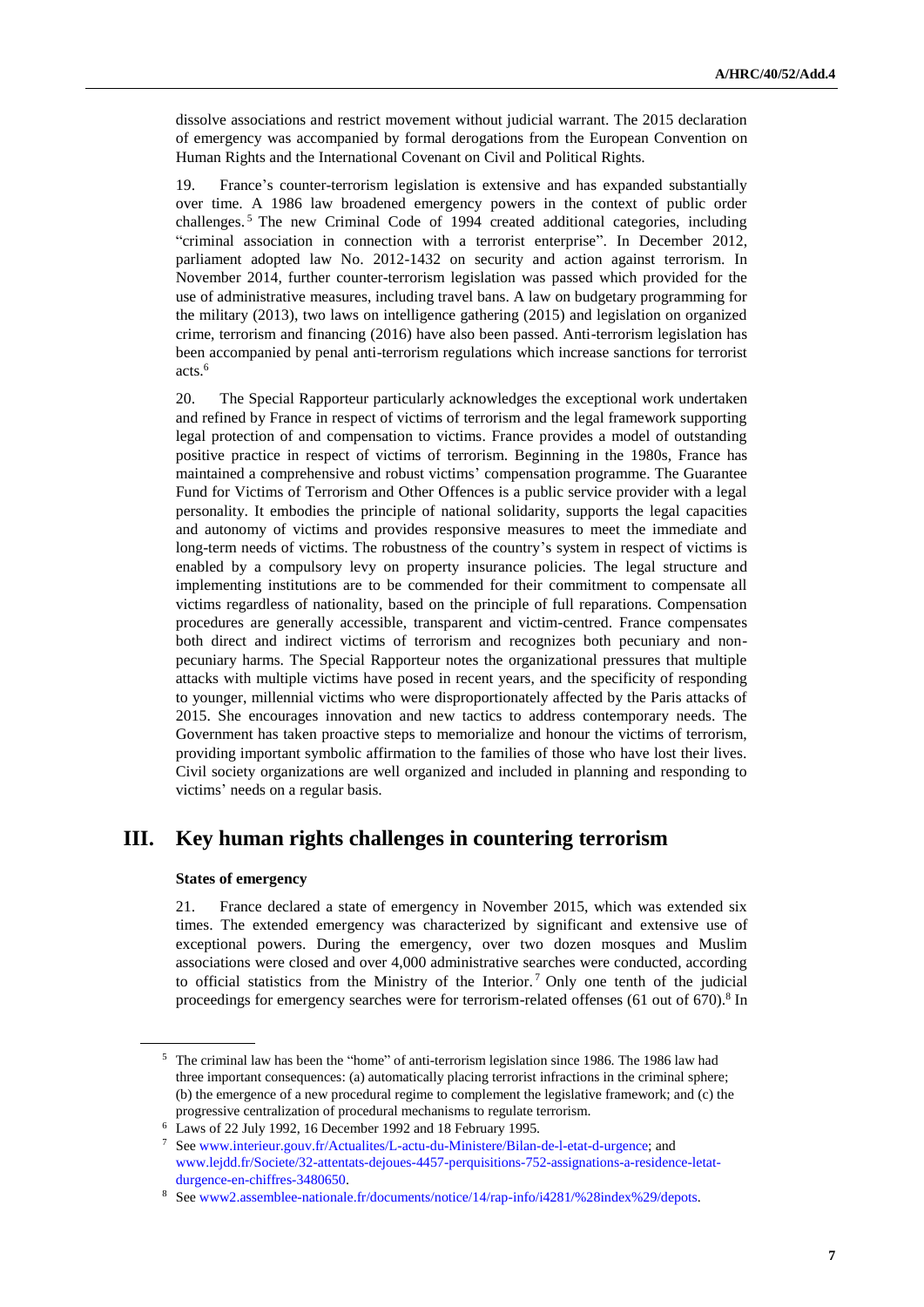dissolve associations and restrict movement without judicial warrant. The 2015 declaration of emergency was accompanied by formal derogations from the European Convention on Human Rights and the International Covenant on Civil and Political Rights.

19. France's counter-terrorism legislation is extensive and has expanded substantially over time. A 1986 law broadened emergency powers in the context of public order challenges. <sup>5</sup> The new Criminal Code of 1994 created additional categories, including "criminal association in connection with a terrorist enterprise". In December 2012, parliament adopted law No. 2012-1432 on security and action against terrorism. In November 2014, further counter-terrorism legislation was passed which provided for the use of administrative measures, including travel bans. A law on budgetary programming for the military (2013), two laws on intelligence gathering (2015) and legislation on organized crime, terrorism and financing (2016) have also been passed. Anti-terrorism legislation has been accompanied by penal anti-terrorism regulations which increase sanctions for terrorist acts.<sup>6</sup>

20. The Special Rapporteur particularly acknowledges the exceptional work undertaken and refined by France in respect of victims of terrorism and the legal framework supporting legal protection of and compensation to victims. France provides a model of outstanding positive practice in respect of victims of terrorism. Beginning in the 1980s, France has maintained a comprehensive and robust victims' compensation programme. The Guarantee Fund for Victims of Terrorism and Other Offences is a public service provider with a legal personality. It embodies the principle of national solidarity, supports the legal capacities and autonomy of victims and provides responsive measures to meet the immediate and long-term needs of victims. The robustness of the country's system in respect of victims is enabled by a compulsory levy on property insurance policies. The legal structure and implementing institutions are to be commended for their commitment to compensate all victims regardless of nationality, based on the principle of full reparations. Compensation procedures are generally accessible, transparent and victim-centred. France compensates both direct and indirect victims of terrorism and recognizes both pecuniary and nonpecuniary harms. The Special Rapporteur notes the organizational pressures that multiple attacks with multiple victims have posed in recent years, and the specificity of responding to younger, millennial victims who were disproportionately affected by the Paris attacks of 2015. She encourages innovation and new tactics to address contemporary needs. The Government has taken proactive steps to memorialize and honour the victims of terrorism, providing important symbolic affirmation to the families of those who have lost their lives. Civil society organizations are well organized and included in planning and responding to victims' needs on a regular basis.

## **III. Key human rights challenges in countering terrorism**

#### **States of emergency**

21. France declared a state of emergency in November 2015, which was extended six times. The extended emergency was characterized by significant and extensive use of exceptional powers. During the emergency, over two dozen mosques and Muslim associations were closed and over 4,000 administrative searches were conducted, according to official statistics from the Ministry of the Interior.<sup>7</sup> Only one tenth of the judicial proceedings for emergency searches were for terrorism-related offenses (61 out of 670).<sup>8</sup> In

<sup>5</sup> The criminal law has been the "home" of anti-terrorism legislation since 1986. The 1986 law had three important consequences: (a) automatically placing terrorist infractions in the criminal sphere; (b) the emergence of a new procedural regime to complement the legislative framework; and (c) the progressive centralization of procedural mechanisms to regulate terrorism.

<sup>6</sup> Laws of 22 July 1992, 16 December 1992 and 18 February 1995.

<sup>7</sup> Se[e www.interieur.gouv.fr/Actualites/L-actu-du-Ministere/Bilan-de-l-etat-d-urgence;](http://www.interieur.gouv.fr/Actualites/L-actu-du-Ministere/Bilan-de-l-etat-d-urgence) and [www.lejdd.fr/Societe/32-attentats-dejoues-4457-perquisitions-752-assignations-a-residence-letat](http://www.lejdd.fr/Societe/32-attentats-dejoues-4457-perquisitions-752-assignations-a-residence-letat-durgence-en-chiffres-3480650)[durgence-en-chiffres-3480650.](http://www.lejdd.fr/Societe/32-attentats-dejoues-4457-perquisitions-752-assignations-a-residence-letat-durgence-en-chiffres-3480650)

<sup>8</sup> Se[e www2.assemblee-nationale.fr/documents/notice/14/rap-info/i4281/%28index%29/depots.](http://www2.assemblee-nationale.fr/documents/notice/14/rap-info/i4281/%28index%29/depots)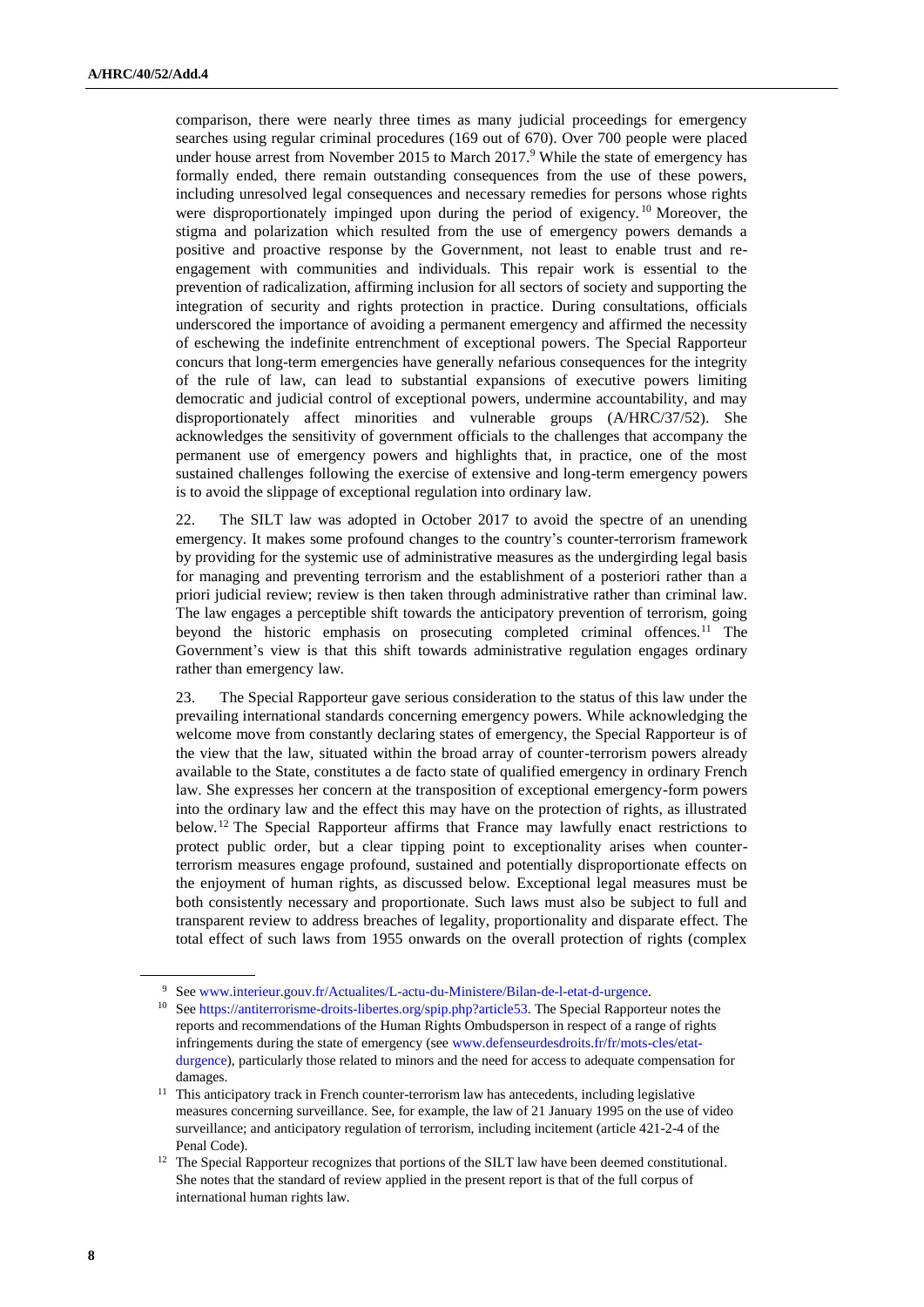comparison, there were nearly three times as many judicial proceedings for emergency searches using regular criminal procedures (169 out of 670). Over 700 people were placed under house arrest from November 2015 to March  $2017<sup>9</sup>$  While the state of emergency has formally ended, there remain outstanding consequences from the use of these powers, including unresolved legal consequences and necessary remedies for persons whose rights were disproportionately impinged upon during the period of exigency.<sup>10</sup> Moreover, the stigma and polarization which resulted from the use of emergency powers demands a positive and proactive response by the Government, not least to enable trust and reengagement with communities and individuals. This repair work is essential to the prevention of radicalization, affirming inclusion for all sectors of society and supporting the integration of security and rights protection in practice. During consultations, officials underscored the importance of avoiding a permanent emergency and affirmed the necessity of eschewing the indefinite entrenchment of exceptional powers. The Special Rapporteur concurs that long-term emergencies have generally nefarious consequences for the integrity of the rule of law, can lead to substantial expansions of executive powers limiting democratic and judicial control of exceptional powers, undermine accountability, and may disproportionately affect minorities and vulnerable groups (A/HRC/37/52). She acknowledges the sensitivity of government officials to the challenges that accompany the permanent use of emergency powers and highlights that, in practice, one of the most sustained challenges following the exercise of extensive and long-term emergency powers is to avoid the slippage of exceptional regulation into ordinary law.

22. The SILT law was adopted in October 2017 to avoid the spectre of an unending emergency. It makes some profound changes to the country's counter-terrorism framework by providing for the systemic use of administrative measures as the undergirding legal basis for managing and preventing terrorism and the establishment of a posteriori rather than a priori judicial review; review is then taken through administrative rather than criminal law. The law engages a perceptible shift towards the anticipatory prevention of terrorism, going beyond the historic emphasis on prosecuting completed criminal offences.<sup>11</sup> The Government's view is that this shift towards administrative regulation engages ordinary rather than emergency law.

23. The Special Rapporteur gave serious consideration to the status of this law under the prevailing international standards concerning emergency powers. While acknowledging the welcome move from constantly declaring states of emergency, the Special Rapporteur is of the view that the law, situated within the broad array of counter-terrorism powers already available to the State, constitutes a de facto state of qualified emergency in ordinary French law. She expresses her concern at the transposition of exceptional emergency-form powers into the ordinary law and the effect this may have on the protection of rights, as illustrated below.<sup>12</sup> The Special Rapporteur affirms that France may lawfully enact restrictions to protect public order, but a clear tipping point to exceptionality arises when counterterrorism measures engage profound, sustained and potentially disproportionate effects on the enjoyment of human rights, as discussed below*.* Exceptional legal measures must be both consistently necessary and proportionate. Such laws must also be subject to full and transparent review to address breaches of legality, proportionality and disparate effect. The total effect of such laws from 1955 onwards on the overall protection of rights (complex

<sup>9</sup> Se[e www.interieur.gouv.fr/Actualites/L-actu-du-Ministere/Bilan-de-l-etat-d-urgence.](http://www.interieur.gouv.fr/Actualites/L-actu-du-Ministere/Bilan-de-l-etat-d-urgence)

<sup>&</sup>lt;sup>10</sup> Se[e https://antiterrorisme-droits-libertes.org/spip.php?article53.](https://antiterrorisme-droits-libertes.org/spip.php?article53) The Special Rapporteur notes the reports and recommendations of the Human Rights Ombudsperson in respect of a range of rights infringements during the state of emergency (see [www.defenseurdesdroits.fr/fr/mots-cles/etat](http://www.defenseurdesdroits.fr/fr/mots-cles/etat-durgence)[durgence\)](http://www.defenseurdesdroits.fr/fr/mots-cles/etat-durgence), particularly those related to minors and the need for access to adequate compensation for damages.

<sup>&</sup>lt;sup>11</sup> This anticipatory track in French counter-terrorism law has antecedents, including legislative measures concerning surveillance. See, for example, the law of 21 January 1995 on the use of video surveillance; and anticipatory regulation of terrorism, including incitement (article 421-2-4 of the Penal Code).

<sup>&</sup>lt;sup>12</sup> The Special Rapporteur recognizes that portions of the SILT law have been deemed constitutional. She notes that the standard of review applied in the present report is that of the full corpus of international human rights law.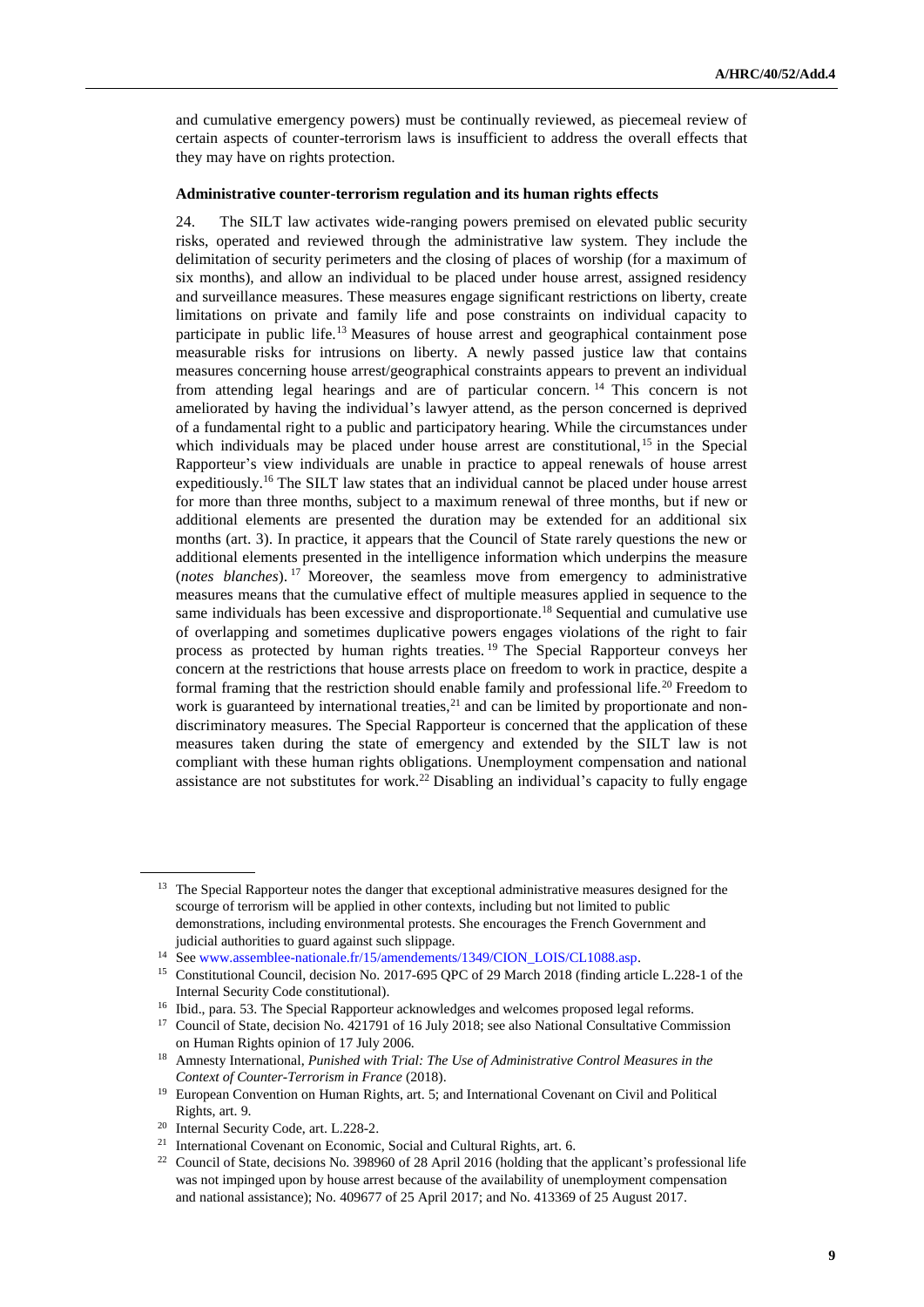and cumulative emergency powers) must be continually reviewed, as piecemeal review of certain aspects of counter-terrorism laws is insufficient to address the overall effects that they may have on rights protection.

#### **Administrative counter-terrorism regulation and its human rights effects**

24. The SILT law activates wide-ranging powers premised on elevated public security risks, operated and reviewed through the administrative law system. They include the delimitation of security perimeters and the closing of places of worship (for a maximum of six months), and allow an individual to be placed under house arrest, assigned residency and surveillance measures. These measures engage significant restrictions on liberty, create limitations on private and family life and pose constraints on individual capacity to participate in public life.<sup>13</sup> Measures of house arrest and geographical containment pose measurable risks for intrusions on liberty. A newly passed justice law that contains measures concerning house arrest/geographical constraints appears to prevent an individual from attending legal hearings and are of particular concern. <sup>14</sup> This concern is not ameliorated by having the individual's lawyer attend, as the person concerned is deprived of a fundamental right to a public and participatory hearing. While the circumstances under which individuals may be placed under house arrest are constitutional,  $15$  in the Special Rapporteur's view individuals are unable in practice to appeal renewals of house arrest expeditiously.<sup>16</sup> The SILT law states that an individual cannot be placed under house arrest for more than three months, subject to a maximum renewal of three months, but if new or additional elements are presented the duration may be extended for an additional six months (art. 3). In practice, it appears that the Council of State rarely questions the new or additional elements presented in the intelligence information which underpins the measure (*notes blanches*). <sup>17</sup> Moreover, the seamless move from emergency to administrative measures means that the cumulative effect of multiple measures applied in sequence to the same individuals has been excessive and disproportionate.<sup>18</sup> Sequential and cumulative use of overlapping and sometimes duplicative powers engages violations of the right to fair process as protected by human rights treaties. <sup>19</sup> The Special Rapporteur conveys her concern at the restrictions that house arrests place on freedom to work in practice, despite a formal framing that the restriction should enable family and professional life.<sup>20</sup> Freedom to work is guaranteed by international treaties,  $21$  and can be limited by proportionate and nondiscriminatory measures. The Special Rapporteur is concerned that the application of these measures taken during the state of emergency and extended by the SILT law is not compliant with these human rights obligations. Unemployment compensation and national assistance are not substitutes for work.<sup>22</sup> Disabling an individual's capacity to fully engage

<sup>&</sup>lt;sup>13</sup> The Special Rapporteur notes the danger that exceptional administrative measures designed for the scourge of terrorism will be applied in other contexts, including but not limited to public demonstrations, including environmental protests. She encourages the French Government and judicial authorities to guard against such slippage.

<sup>14</sup> Se[e www.assemblee-nationale.fr/15/amendements/1349/CION\\_LOIS/CL1088.asp.](http://www.assemblee-nationale.fr/15/amendements/1349/CION_LOIS/CL1088.asp)

<sup>&</sup>lt;sup>15</sup> Constitutional Council, decision No. 2017-695 QPC of 29 March 2018 (finding article L.228-1 of the Internal Security Code constitutional).

<sup>&</sup>lt;sup>16</sup> Ibid., para. 53. The Special Rapporteur acknowledges and welcomes proposed legal reforms.

<sup>&</sup>lt;sup>17</sup> Council of State, decision No. 421791 of 16 July 2018; see also National Consultative Commission on Human Rights opinion of 17 July 2006.

<sup>18</sup> Amnesty International, *Punished with Trial: The Use of Administrative Control Measures in the Context of Counter-Terrorism in France* (2018).

<sup>&</sup>lt;sup>19</sup> European Convention on Human Rights, art. 5; and International Covenant on Civil and Political Rights, art. 9.

<sup>20</sup> Internal Security Code, art. L.228-2.

<sup>&</sup>lt;sup>21</sup> International Covenant on Economic, Social and Cultural Rights, art. 6.

<sup>&</sup>lt;sup>22</sup> Council of State, decisions No. 398960 of 28 April 2016 (holding that the applicant's professional life was not impinged upon by house arrest because of the availability of unemployment compensation and national assistance); No. 409677 of 25 April 2017; and No. 413369 of 25 August 2017.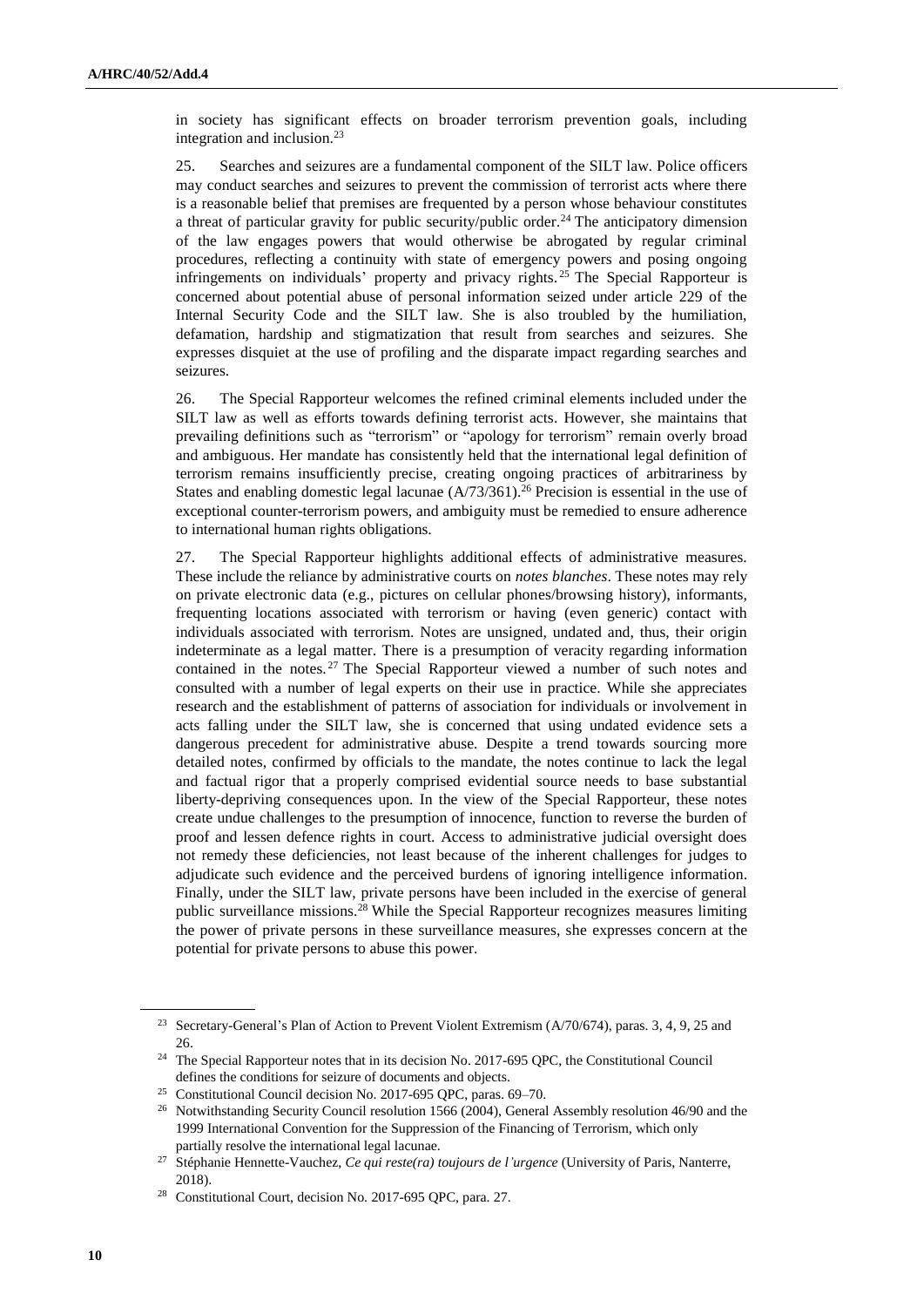in society has significant effects on broader terrorism prevention goals, including integration and inclusion.<sup>23</sup>

25. Searches and seizures are a fundamental component of the SILT law. Police officers may conduct searches and seizures to prevent the commission of terrorist acts where there is a reasonable belief that premises are frequented by a person whose behaviour constitutes a threat of particular gravity for public security/public order.<sup>24</sup> The anticipatory dimension of the law engages powers that would otherwise be abrogated by regular criminal procedures, reflecting a continuity with state of emergency powers and posing ongoing infringements on individuals' property and privacy rights. <sup>25</sup> The Special Rapporteur is concerned about potential abuse of personal information seized under article 229 of the Internal Security Code and the SILT law. She is also troubled by the humiliation, defamation, hardship and stigmatization that result from searches and seizures. She expresses disquiet at the use of profiling and the disparate impact regarding searches and seizures.

26. The Special Rapporteur welcomes the refined criminal elements included under the SILT law as well as efforts towards defining terrorist acts. However, she maintains that prevailing definitions such as "terrorism" or "apology for terrorism" remain overly broad and ambiguous. Her mandate has consistently held that the international legal definition of terrorism remains insufficiently precise, creating ongoing practices of arbitrariness by States and enabling domestic legal lacunae  $(A/73/361)$ .<sup>26</sup> Precision is essential in the use of exceptional counter-terrorism powers, and ambiguity must be remedied to ensure adherence to international human rights obligations.

27. The Special Rapporteur highlights additional effects of administrative measures. These include the reliance by administrative courts on *notes blanches*. These notes may rely on private electronic data (e.g., pictures on cellular phones/browsing history), informants, frequenting locations associated with terrorism or having (even generic) contact with individuals associated with terrorism. Notes are unsigned, undated and, thus, their origin indeterminate as a legal matter. There is a presumption of veracity regarding information contained in the notes. <sup>27</sup> The Special Rapporteur viewed a number of such notes and consulted with a number of legal experts on their use in practice. While she appreciates research and the establishment of patterns of association for individuals or involvement in acts falling under the SILT law, she is concerned that using undated evidence sets a dangerous precedent for administrative abuse. Despite a trend towards sourcing more detailed notes, confirmed by officials to the mandate, the notes continue to lack the legal and factual rigor that a properly comprised evidential source needs to base substantial liberty-depriving consequences upon. In the view of the Special Rapporteur, these notes create undue challenges to the presumption of innocence, function to reverse the burden of proof and lessen defence rights in court. Access to administrative judicial oversight does not remedy these deficiencies, not least because of the inherent challenges for judges to adjudicate such evidence and the perceived burdens of ignoring intelligence information. Finally, under the SILT law, private persons have been included in the exercise of general public surveillance missions.<sup>28</sup> While the Special Rapporteur recognizes measures limiting the power of private persons in these surveillance measures, she expresses concern at the potential for private persons to abuse this power.

<sup>&</sup>lt;sup>23</sup> Secretary-General's Plan of Action to Prevent Violent Extremism (A/70/674), paras. 3, 4, 9, 25 and 26.

<sup>&</sup>lt;sup>24</sup> The Special Rapporteur notes that in its decision No. 2017-695 QPC, the Constitutional Council defines the conditions for seizure of documents and objects.

<sup>25</sup> Constitutional Council decision No. 2017-695 QPC, paras. 69–70.

<sup>&</sup>lt;sup>26</sup> Notwithstanding Security Council resolution 1566 (2004), General Assembly resolution 46/90 and the 1999 International Convention for the Suppression of the Financing of Terrorism, which only partially resolve the international legal lacunae.

<sup>27</sup> Stéphanie Hennette-Vauchez, *Ce qui reste(ra) toujours de l'urgence* (University of Paris, Nanterre, 2018).

<sup>28</sup> [Constitutional Court, decision No.](https://www.conseil-constitutionnel.fr/decision/2018/2017695QPC.htm) 2017-695 QPC, para. 27.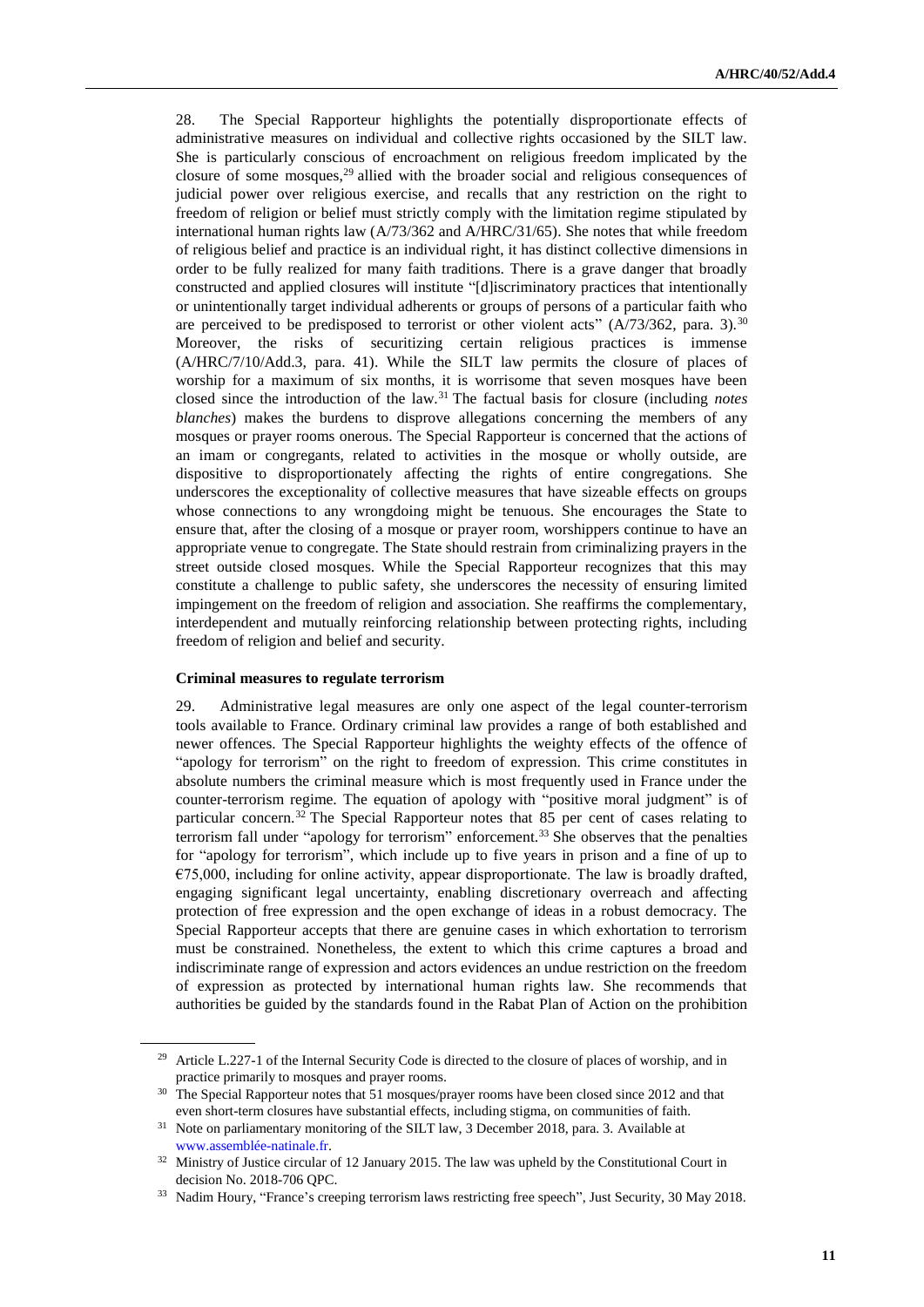28. The Special Rapporteur highlights the potentially disproportionate effects of administrative measures on individual and collective rights occasioned by the SILT law. She is particularly conscious of encroachment on religious freedom implicated by the closure of some mosques, $29$  allied with the broader social and religious consequences of judicial power over religious exercise, and recalls that any restriction on the right to freedom of religion or belief must strictly comply with the limitation regime stipulated by international human rights law (A/73/362 and A/HRC/31/65). She notes that while freedom of religious belief and practice is an individual right, it has distinct collective dimensions in order to be fully realized for many faith traditions. There is a grave danger that broadly constructed and applied closures will institute "[d]iscriminatory practices that intentionally or unintentionally target individual adherents or groups of persons of a particular faith who are perceived to be predisposed to terrorist or other violent acts"  $(A/73/362, \text{ para. } 3).$ <sup>30</sup> Moreover, the risks of securitizing certain religious practices is immense (A/HRC/7/10/Add.3, para. 41). While the SILT law permits the closure of places of worship for a maximum of six months, it is worrisome that seven mosques have been closed since the introduction of the law.<sup>31</sup> The factual basis for closure (including *notes blanches*) makes the burdens to disprove allegations concerning the members of any mosques or prayer rooms onerous. The Special Rapporteur is concerned that the actions of an imam or congregants, related to activities in the mosque or wholly outside, are dispositive to disproportionately affecting the rights of entire congregations. She underscores the exceptionality of collective measures that have sizeable effects on groups whose connections to any wrongdoing might be tenuous. She encourages the State to ensure that, after the closing of a mosque or prayer room, worshippers continue to have an appropriate venue to congregate. The State should restrain from criminalizing prayers in the street outside closed mosques. While the Special Rapporteur recognizes that this may constitute a challenge to public safety, she underscores the necessity of ensuring limited impingement on the freedom of religion and association. She reaffirms the complementary, interdependent and mutually reinforcing relationship between protecting rights, including freedom of religion and belief and security.

#### **Criminal measures to regulate terrorism**

29. Administrative legal measures are only one aspect of the legal counter-terrorism tools available to France. Ordinary criminal law provides a range of both established and newer offences. The Special Rapporteur highlights the weighty effects of the offence of "apology for terrorism" on the right to freedom of expression. This crime constitutes in absolute numbers the criminal measure which is most frequently used in France under the counter-terrorism regime. The equation of apology with "positive moral judgment" is of particular concern.<sup>32</sup> The Special Rapporteur notes that 85 per cent of cases relating to terrorism fall under "apology for terrorism" enforcement.<sup>33</sup> She observes that the penalties for "apology for terrorism", which include up to five years in prison and a fine of up to €75,000, including for online activity, appear disproportionate. The law is broadly drafted, engaging significant legal uncertainty, enabling discretionary overreach and affecting protection of free expression and the open exchange of ideas in a robust democracy. The Special Rapporteur accepts that there are genuine cases in which exhortation to terrorism must be constrained. Nonetheless, the extent to which this crime captures a broad and indiscriminate range of expression and actors evidences an undue restriction on the freedom of expression as protected by international human rights law. She recommends that authorities be guided by the standards found in the Rabat Plan of Action on the prohibition

<sup>&</sup>lt;sup>29</sup> Article L.227-1 of the Internal Security Code is directed to the closure of places of worship, and in practice primarily to mosques and prayer rooms.

<sup>&</sup>lt;sup>30</sup> The Special Rapporteur notes that 51 mosques/prayer rooms have been closed since 2012 and that even short-term closures have substantial effects, including stigma, on communities of faith.

<sup>&</sup>lt;sup>31</sup> Note on parliamentary monitoring of the SILT law, 3 December 2018, para. 3. Available at [www.assemblée-natinale.fr.](http://www.assemblée-natinale.fr/)

<sup>&</sup>lt;sup>32</sup> Ministry of Justice circular of 12 January 2015. The law was upheld by the Constitutional Court in decision No. 2018-706 QPC.

<sup>&</sup>lt;sup>33</sup> Nadim Houry, "France's creeping terrorism laws restricting free speech", Just Security, 30 May 2018.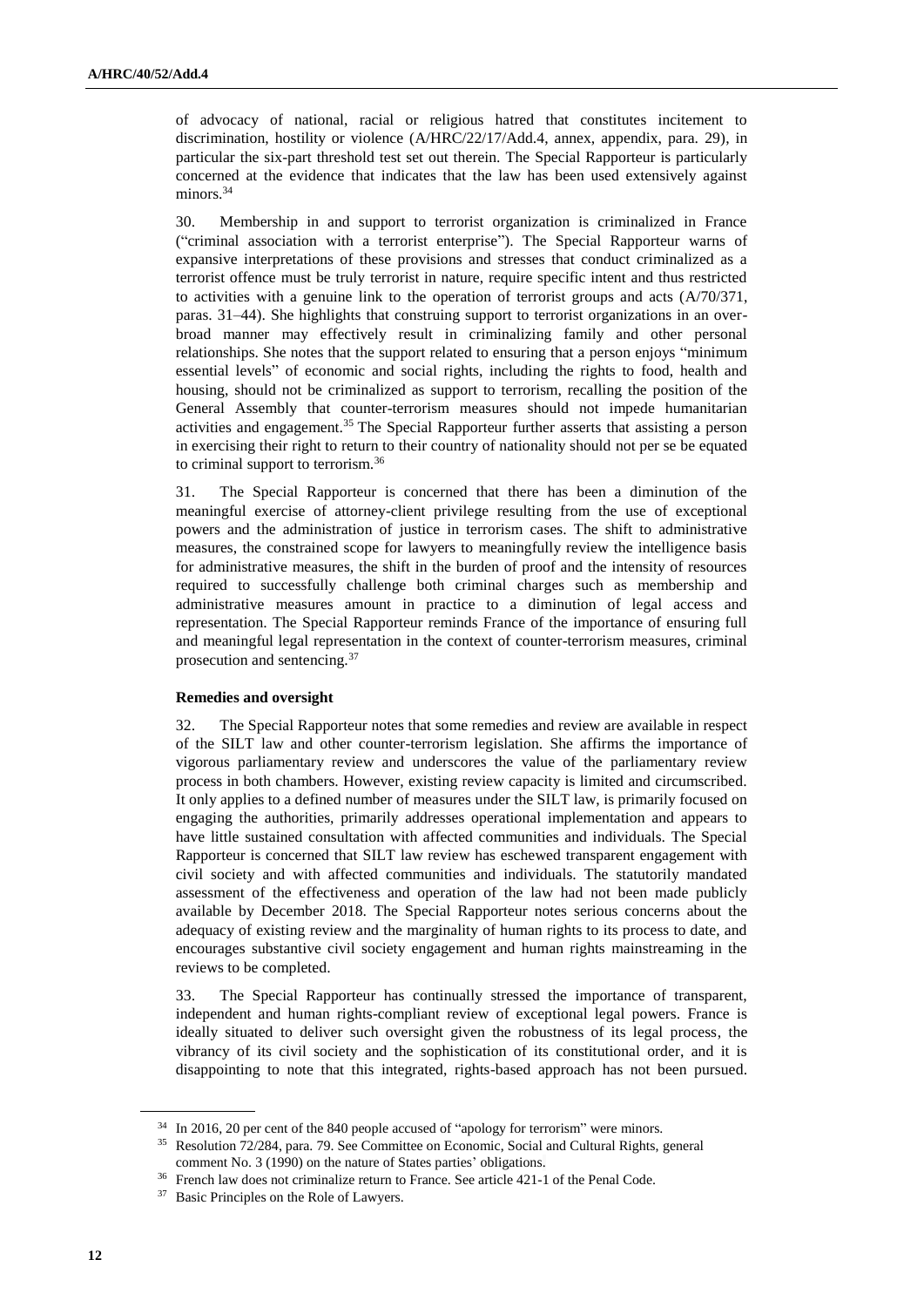of advocacy of national, racial or religious hatred that constitutes incitement to discrimination, hostility or violence (A/HRC/22/17/Add.4, annex, appendix, para. 29), in particular the six-part threshold test set out therein. The Special Rapporteur is particularly concerned at the evidence that indicates that the law has been used extensively against minors.<sup>34</sup>

30. Membership in and support to terrorist organization is criminalized in France ("criminal association with a terrorist enterprise"). The Special Rapporteur warns of expansive interpretations of these provisions and stresses that conduct criminalized as a terrorist offence must be truly terrorist in nature, require specific intent and thus restricted to activities with a genuine link to the operation of terrorist groups and acts (A/70/371, paras. 31–44). She highlights that construing support to terrorist organizations in an overbroad manner may effectively result in criminalizing family and other personal relationships. She notes that the support related to ensuring that a person enjoys "minimum essential levels" of economic and social rights, including the rights to food, health and housing, should not be criminalized as support to terrorism, recalling the position of the General Assembly that counter-terrorism measures should not impede humanitarian activities and engagement.<sup>35</sup> The Special Rapporteur further asserts that assisting a person in exercising their right to return to their country of nationality should not per se be equated to criminal support to terrorism.<sup>36</sup>

31. The Special Rapporteur is concerned that there has been a diminution of the meaningful exercise of attorney-client privilege resulting from the use of exceptional powers and the administration of justice in terrorism cases. The shift to administrative measures, the constrained scope for lawyers to meaningfully review the intelligence basis for administrative measures, the shift in the burden of proof and the intensity of resources required to successfully challenge both criminal charges such as membership and administrative measures amount in practice to a diminution of legal access and representation. The Special Rapporteur reminds France of the importance of ensuring full and meaningful legal representation in the context of counter-terrorism measures, criminal prosecution and sentencing.<sup>37</sup>

#### **Remedies and oversight**

32. The Special Rapporteur notes that some remedies and review are available in respect of the SILT law and other counter-terrorism legislation. She affirms the importance of vigorous parliamentary review and underscores the value of the parliamentary review process in both chambers. However, existing review capacity is limited and circumscribed. It only applies to a defined number of measures under the SILT law, is primarily focused on engaging the authorities, primarily addresses operational implementation and appears to have little sustained consultation with affected communities and individuals. The Special Rapporteur is concerned that SILT law review has eschewed transparent engagement with civil society and with affected communities and individuals. The statutorily mandated assessment of the effectiveness and operation of the law had not been made publicly available by December 2018. The Special Rapporteur notes serious concerns about the adequacy of existing review and the marginality of human rights to its process to date, and encourages substantive civil society engagement and human rights mainstreaming in the reviews to be completed.

33. The Special Rapporteur has continually stressed the importance of transparent, independent and human rights-compliant review of exceptional legal powers. France is ideally situated to deliver such oversight given the robustness of its legal process, the vibrancy of its civil society and the sophistication of its constitutional order, and it is disappointing to note that this integrated, rights-based approach has not been pursued.

<sup>&</sup>lt;sup>34</sup> In 2016, 20 per cent of the 840 people accused of "apology for terrorism" were minors.

<sup>35</sup> Resolution 72/284, para. 79. See Committee on Economic, Social and Cultural Rights, general comment No. 3 (1990) on the nature of States parties' obligations.

<sup>36</sup> French law does not criminalize return to France. See article 421-1 of the Penal Code.

<sup>37</sup> Basic Principles on the Role of Lawyers.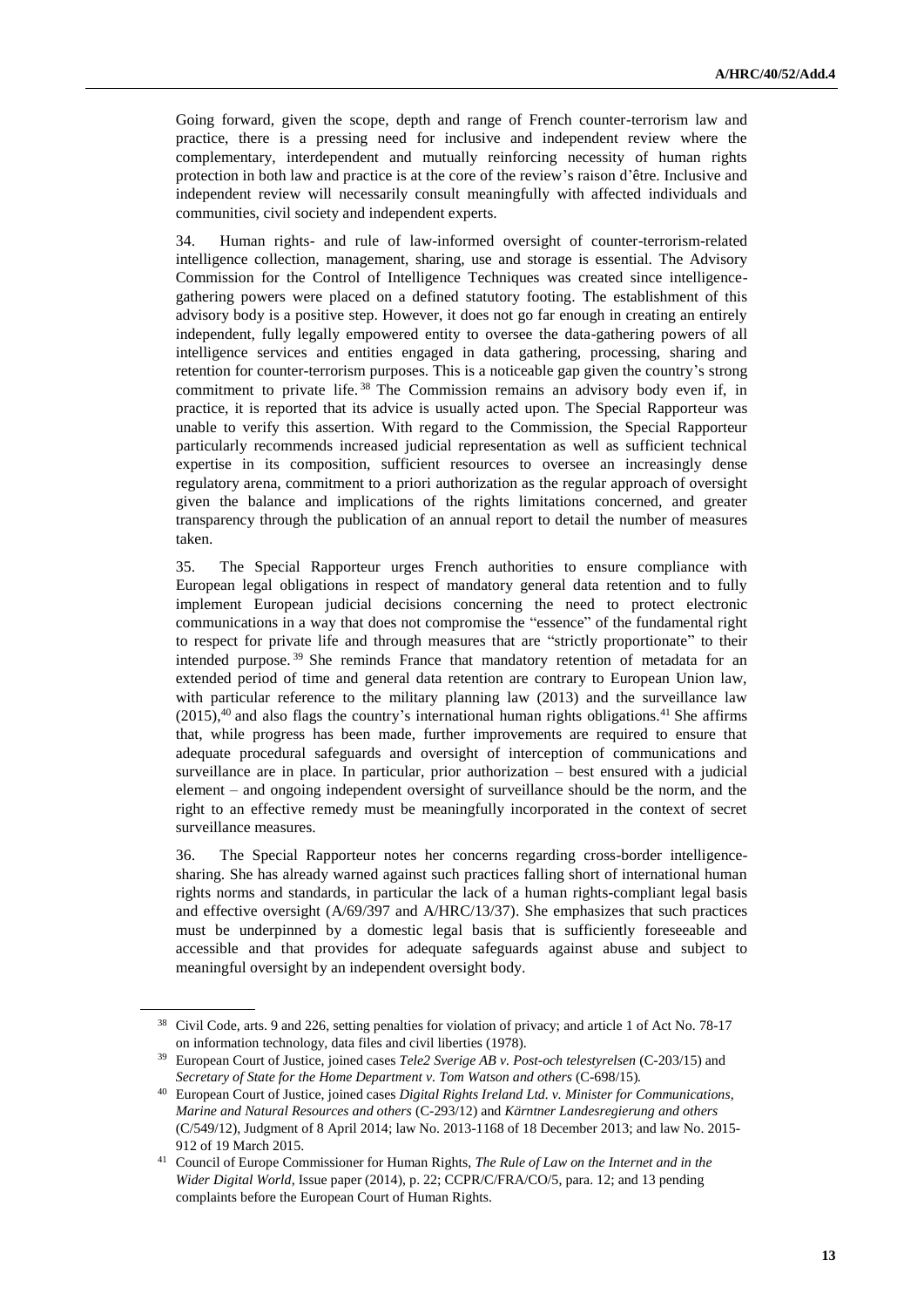Going forward, given the scope, depth and range of French counter-terrorism law and practice, there is a pressing need for inclusive and independent review where the complementary, interdependent and mutually reinforcing necessity of human rights protection in both law and practice is at the core of the review's raison d'être. Inclusive and independent review will necessarily consult meaningfully with affected individuals and communities, civil society and independent experts.

34. Human rights- and rule of law-informed oversight of counter-terrorism-related intelligence collection, management, sharing, use and storage is essential. The Advisory Commission for the Control of Intelligence Techniques was created since intelligencegathering powers were placed on a defined statutory footing. The establishment of this advisory body is a positive step. However, it does not go far enough in creating an entirely independent, fully legally empowered entity to oversee the data-gathering powers of all intelligence services and entities engaged in data gathering, processing, sharing and retention for counter-terrorism purposes. This is a noticeable gap given the country's strong commitment to private life.<sup>38</sup> The Commission remains an advisory body even if, in practice, it is reported that its advice is usually acted upon. The Special Rapporteur was unable to verify this assertion. With regard to the Commission, the Special Rapporteur particularly recommends increased judicial representation as well as sufficient technical expertise in its composition, sufficient resources to oversee an increasingly dense regulatory arena, commitment to a priori authorization as the regular approach of oversight given the balance and implications of the rights limitations concerned, and greater transparency through the publication of an annual report to detail the number of measures taken.

35. The Special Rapporteur urges French authorities to ensure compliance with European legal obligations in respect of mandatory general data retention and to fully implement European judicial decisions concerning the need to protect electronic communications in a way that does not compromise the "essence" of the fundamental right to respect for private life and through measures that are "strictly proportionate" to their intended purpose. <sup>39</sup> She reminds France that mandatory retention of metadata for an extended period of time and general data retention are contrary to European Union law, with particular reference to the military planning law (2013) and the surveillance law  $(2015)$ ,<sup>40</sup> and also flags the country's international human rights obligations.<sup>41</sup> She affirms that, while progress has been made, further improvements are required to ensure that adequate procedural safeguards and oversight of interception of communications and surveillance are in place. In particular, prior authorization – best ensured with a judicial element – and ongoing independent oversight of surveillance should be the norm, and the right to an effective remedy must be meaningfully incorporated in the context of secret surveillance measures.

36. The Special Rapporteur notes her concerns regarding cross-border intelligencesharing. She has already warned against such practices falling short of international human rights norms and standards, in particular the lack of a human rights-compliant legal basis and effective oversight (A/69/397 and A/HRC/13/37). She emphasizes that such practices must be underpinned by a domestic legal basis that is sufficiently foreseeable and accessible and that provides for adequate safeguards against abuse and subject to meaningful oversight by an independent oversight body.

<sup>38</sup> Civil Code, arts. 9 and 226, setting penalties for violation of privacy; and article 1 of Act No. 78-17 on information technology, data files and civil liberties (1978).

<sup>39</sup> European Court of Justice, joined cases *Tele2 Sverige AB v. Post-och telestyrelsen* (C-203/15) and *Secretary of State for the Home Department v. Tom Watson and others* (C-698/15)*.*

<sup>40</sup> European Court of Justice, joined cases *Digital Rights Ireland Ltd. v. Minister for Communications, Marine and Natural Resources and others* (C-293/12) and *Kärntner Landesregierung and others* (C/549/12), Judgment of 8 April 2014; law No. 2013-1168 of 18 December 2013; and law No. 2015- 912 of 19 March 2015.

<sup>41</sup> Council of Europe Commissioner for Human Rights, *The Rule of Law on the Internet and in the Wider Digital World*, Issue paper (2014), p. 22; CCPR/C/FRA/CO/5, para. 12; and 13 pending complaints before the European Court of Human Rights.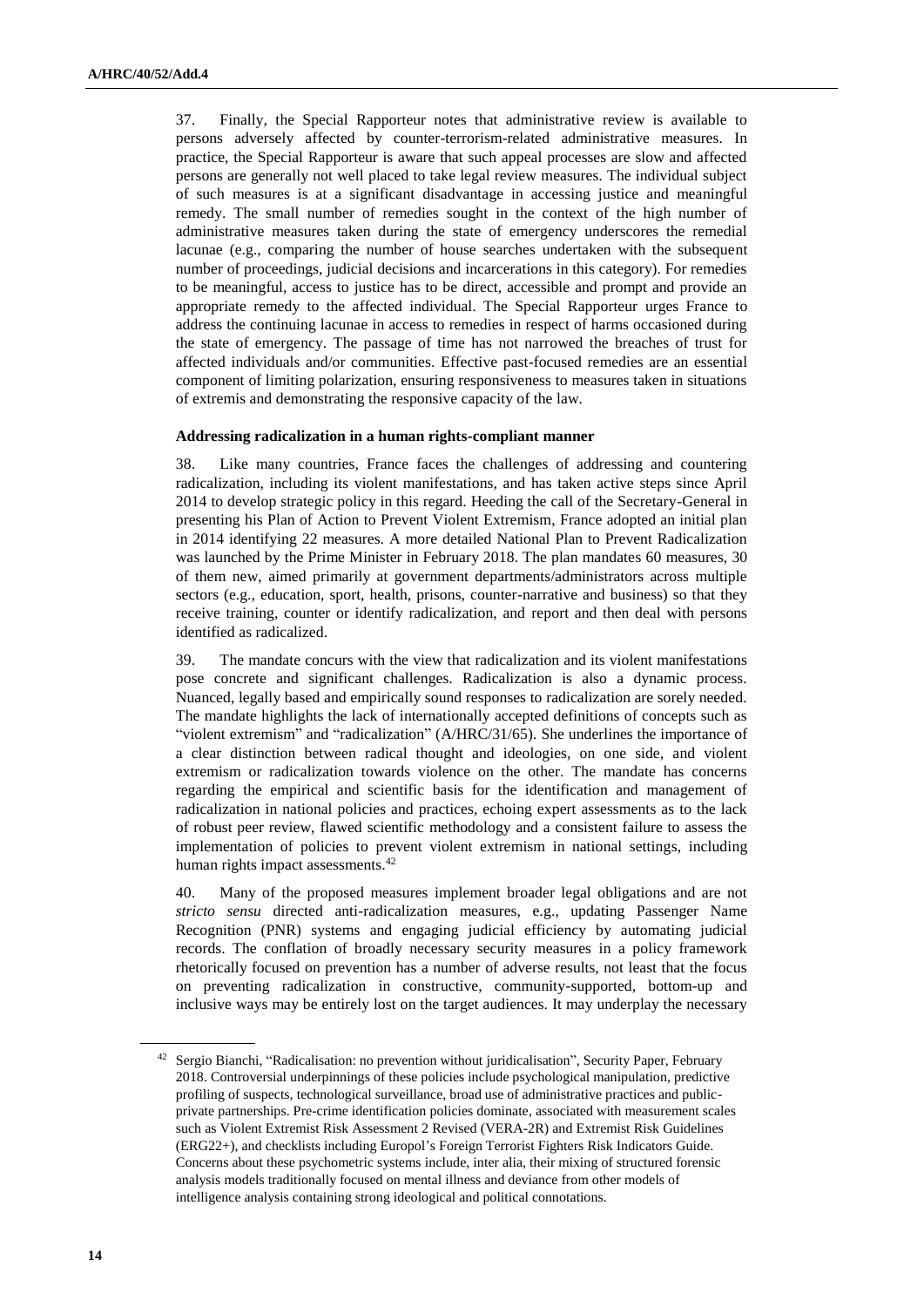37. Finally, the Special Rapporteur notes that administrative review is available to persons adversely affected by counter-terrorism-related administrative measures. In practice, the Special Rapporteur is aware that such appeal processes are slow and affected persons are generally not well placed to take legal review measures. The individual subject of such measures is at a significant disadvantage in accessing justice and meaningful remedy. The small number of remedies sought in the context of the high number of administrative measures taken during the state of emergency underscores the remedial lacunae (e.g., comparing the number of house searches undertaken with the subsequent number of proceedings, judicial decisions and incarcerations in this category). For remedies to be meaningful, access to justice has to be direct, accessible and prompt and provide an appropriate remedy to the affected individual. The Special Rapporteur urges France to address the continuing lacunae in access to remedies in respect of harms occasioned during the state of emergency. The passage of time has not narrowed the breaches of trust for affected individuals and/or communities. Effective past-focused remedies are an essential component of limiting polarization, ensuring responsiveness to measures taken in situations of extremis and demonstrating the responsive capacity of the law.

#### **Addressing radicalization in a human rights-compliant manner**

38. Like many countries, France faces the challenges of addressing and countering radicalization, including its violent manifestations, and has taken active steps since April 2014 to develop strategic policy in this regard. Heeding the call of the Secretary-General in presenting his Plan of Action to Prevent Violent Extremism, France adopted an initial plan in 2014 identifying 22 measures. A more detailed National Plan to Prevent Radicalization was launched by the Prime Minister in February 2018. The plan mandates 60 measures, 30 of them new, aimed primarily at government departments/administrators across multiple sectors (e.g., education, sport, health, prisons, counter-narrative and business) so that they receive training, counter or identify radicalization, and report and then deal with persons identified as radicalized.

39. The mandate concurs with the view that radicalization and its violent manifestations pose concrete and significant challenges. Radicalization is also a dynamic process. Nuanced, legally based and empirically sound responses to radicalization are sorely needed. The mandate highlights the lack of internationally accepted definitions of concepts such as "violent extremism" and "radicalization" (A/HRC/31/65). She underlines the importance of a clear distinction between radical thought and ideologies, on one side, and violent extremism or radicalization towards violence on the other. The mandate has concerns regarding the empirical and scientific basis for the identification and management of radicalization in national policies and practices, echoing expert assessments as to the lack of robust peer review, flawed scientific methodology and a consistent failure to assess the implementation of policies to prevent violent extremism in national settings, including human rights impact assessments.<sup>42</sup>

40. Many of the proposed measures implement broader legal obligations and are not *stricto sensu* directed anti-radicalization measures, e.g., updating Passenger Name Recognition (PNR) systems and engaging judicial efficiency by automating judicial records. The conflation of broadly necessary security measures in a policy framework rhetorically focused on prevention has a number of adverse results, not least that the focus on preventing radicalization in constructive, community-supported, bottom-up and inclusive ways may be entirely lost on the target audiences. It may underplay the necessary

<sup>&</sup>lt;sup>42</sup> Sergio Bianchi, "Radicalisation: no prevention without juridicalisation", Security Paper, February 2018. Controversial underpinnings of these policies include psychological manipulation, predictive profiling of suspects, technological surveillance, broad use of administrative practices and publicprivate partnerships. Pre-crime identification policies dominate, associated with measurement scales such as Violent Extremist Risk Assessment 2 Revised (VERA-2R) and Extremist Risk Guidelines (ERG22+), and checklists including Europol's Foreign Terrorist Fighters Risk Indicators Guide. Concerns about these psychometric systems include, inter alia, their mixing of structured forensic analysis models traditionally focused on mental illness and deviance from other models of intelligence analysis containing strong ideological and political connotations.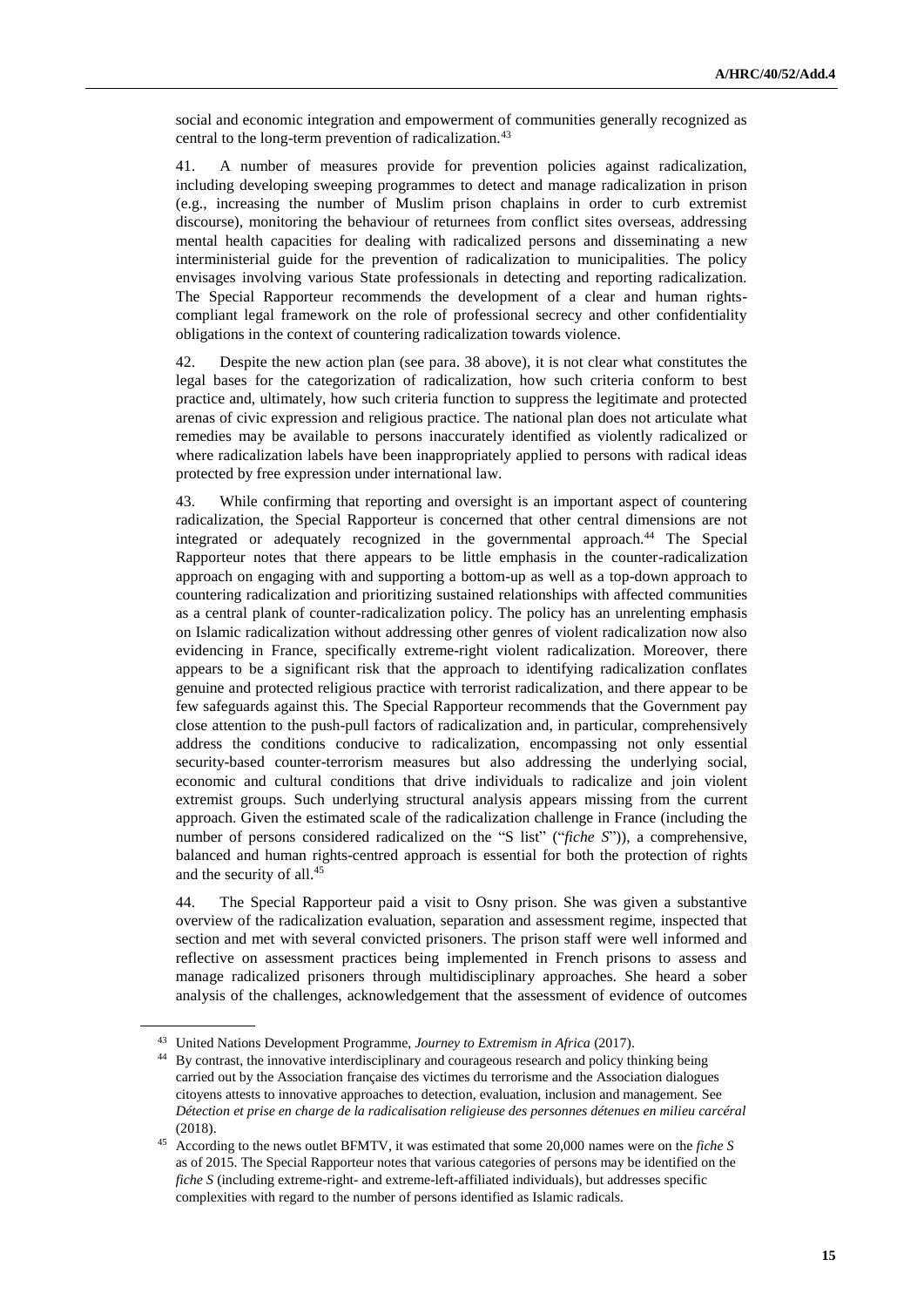social and economic integration and empowerment of communities generally recognized as central to the long-term prevention of radicalization.<sup>43</sup>

41. A number of measures provide for prevention policies against radicalization, including developing sweeping programmes to detect and manage radicalization in prison (e.g., increasing the number of Muslim prison chaplains in order to curb extremist discourse), monitoring the behaviour of returnees from conflict sites overseas, addressing mental health capacities for dealing with radicalized persons and disseminating a new interministerial guide for the prevention of radicalization to municipalities. The policy envisages involving various State professionals in detecting and reporting radicalization. The Special Rapporteur recommends the development of a clear and human rightscompliant legal framework on the role of professional secrecy and other confidentiality obligations in the context of countering radicalization towards violence.

42. Despite the new action plan (see para. 38 above), it is not clear what constitutes the legal bases for the categorization of radicalization, how such criteria conform to best practice and, ultimately, how such criteria function to suppress the legitimate and protected arenas of civic expression and religious practice. The national plan does not articulate what remedies may be available to persons inaccurately identified as violently radicalized or where radicalization labels have been inappropriately applied to persons with radical ideas protected by free expression under international law.

43. While confirming that reporting and oversight is an important aspect of countering radicalization, the Special Rapporteur is concerned that other central dimensions are not integrated or adequately recognized in the governmental approach.<sup>44</sup> The Special Rapporteur notes that there appears to be little emphasis in the counter-radicalization approach on engaging with and supporting a bottom-up as well as a top-down approach to countering radicalization and prioritizing sustained relationships with affected communities as a central plank of counter-radicalization policy. The policy has an unrelenting emphasis on Islamic radicalization without addressing other genres of violent radicalization now also evidencing in France, specifically extreme-right violent radicalization. Moreover, there appears to be a significant risk that the approach to identifying radicalization conflates genuine and protected religious practice with terrorist radicalization, and there appear to be few safeguards against this. The Special Rapporteur recommends that the Government pay close attention to the push-pull factors of radicalization and, in particular, comprehensively address the conditions conducive to radicalization, encompassing not only essential security-based counter-terrorism measures but also addressing the underlying social, economic and cultural conditions that drive individuals to radicalize and join violent extremist groups. Such underlying structural analysis appears missing from the current approach. Given the estimated scale of the radicalization challenge in France (including the number of persons considered radicalized on the "S list" ("*fiche S*")), a comprehensive, balanced and human rights-centred approach is essential for both the protection of rights and the security of all.<sup>45</sup>

44. The Special Rapporteur paid a visit to Osny prison. She was given a substantive overview of the radicalization evaluation, separation and assessment regime, inspected that section and met with several convicted prisoners. The prison staff were well informed and reflective on assessment practices being implemented in French prisons to assess and manage radicalized prisoners through multidisciplinary approaches. She heard a sober analysis of the challenges, acknowledgement that the assessment of evidence of outcomes

<sup>43</sup> United Nations Development Programme, *Journey to Extremism in Africa* (2017).

<sup>44</sup> By contrast, the innovative interdisciplinary and courageous research and policy thinking being carried out by the Association française des victimes du terrorisme and the Association dialogues citoyens attests to innovative approaches to detection, evaluation, inclusion and management. See *Détection et prise en charge de la radicalisation religieuse des personnes détenues en milieu carcéral* (2018).

<sup>45</sup> According to the news outlet BFMTV, it was estimated that some 20,000 names were on the *fiche S* as of 2015. The Special Rapporteur notes that various categories of persons may be identified on the *fiche S* (including extreme-right- and extreme-left-affiliated individuals), but addresses specific complexities with regard to the number of persons identified as Islamic radicals.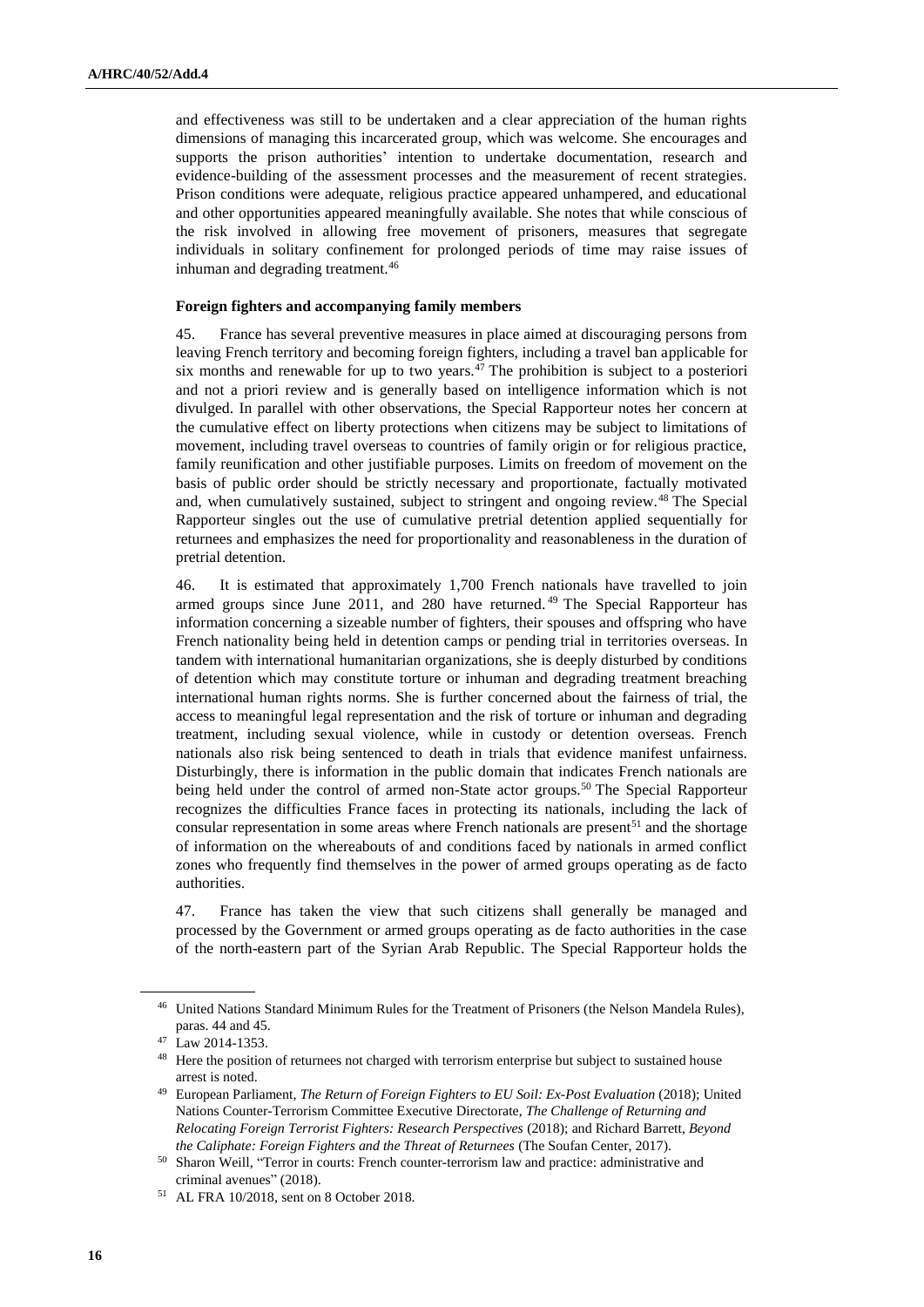and effectiveness was still to be undertaken and a clear appreciation of the human rights dimensions of managing this incarcerated group, which was welcome. She encourages and supports the prison authorities' intention to undertake documentation, research and evidence-building of the assessment processes and the measurement of recent strategies. Prison conditions were adequate, religious practice appeared unhampered, and educational and other opportunities appeared meaningfully available. She notes that while conscious of the risk involved in allowing free movement of prisoners, measures that segregate individuals in solitary confinement for prolonged periods of time may raise issues of inhuman and degrading treatment.<sup>46</sup>

#### **Foreign fighters and accompanying family members**

45. France has several preventive measures in place aimed at discouraging persons from leaving French territory and becoming foreign fighters, including a travel ban applicable for six months and renewable for up to two years.<sup>47</sup> The prohibition is subject to a posteriori and not a priori review and is generally based on intelligence information which is not divulged. In parallel with other observations, the Special Rapporteur notes her concern at the cumulative effect on liberty protections when citizens may be subject to limitations of movement, including travel overseas to countries of family origin or for religious practice, family reunification and other justifiable purposes. Limits on freedom of movement on the basis of public order should be strictly necessary and proportionate, factually motivated and, when cumulatively sustained, subject to stringent and ongoing review.<sup>48</sup> The Special Rapporteur singles out the use of cumulative pretrial detention applied sequentially for returnees and emphasizes the need for proportionality and reasonableness in the duration of pretrial detention.

46. It is estimated that approximately 1,700 French nationals have travelled to join armed groups since June 2011, and 280 have returned. <sup>49</sup> The Special Rapporteur has information concerning a sizeable number of fighters, their spouses and offspring who have French nationality being held in detention camps or pending trial in territories overseas. In tandem with international humanitarian organizations, she is deeply disturbed by conditions of detention which may constitute torture or inhuman and degrading treatment breaching international human rights norms. She is further concerned about the fairness of trial, the access to meaningful legal representation and the risk of torture or inhuman and degrading treatment, including sexual violence, while in custody or detention overseas. French nationals also risk being sentenced to death in trials that evidence manifest unfairness. Disturbingly, there is information in the public domain that indicates French nationals are being held under the control of armed non-State actor groups.<sup>50</sup> The Special Rapporteur recognizes the difficulties France faces in protecting its nationals, including the lack of consular representation in some areas where French nationals are present<sup>51</sup> and the shortage of information on the whereabouts of and conditions faced by nationals in armed conflict zones who frequently find themselves in the power of armed groups operating as de facto authorities.

47. France has taken the view that such citizens shall generally be managed and processed by the Government or armed groups operating as de facto authorities in the case of the north-eastern part of the Syrian Arab Republic. The Special Rapporteur holds the

<sup>46</sup> United Nations Standard Minimum Rules for the Treatment of Prisoners (the Nelson Mandela Rules), paras. 44 and 45.

<sup>47</sup> Law 2014-1353.

<sup>&</sup>lt;sup>48</sup> Here the position of returnees not charged with terrorism enterprise but subject to sustained house arrest is noted.

<sup>49</sup> European Parliament, *The Return of Foreign Fighters to EU Soil: Ex-Post Evaluation* (2018); United Nations Counter-Terrorism Committee Executive Directorate, *The Challenge of Returning and Relocating Foreign Terrorist Fighters: Research Perspectives* (2018); and Richard Barrett, *Beyond the Caliphate: Foreign Fighters and the Threat of Returnees* (The Soufan Center, 2017).

<sup>50</sup> Sharon Weill, "Terror in courts: French counter-terrorism law and practice: administrative and criminal avenues" (2018).

<sup>51</sup> AL FRA 10/2018, sent on 8 October 2018.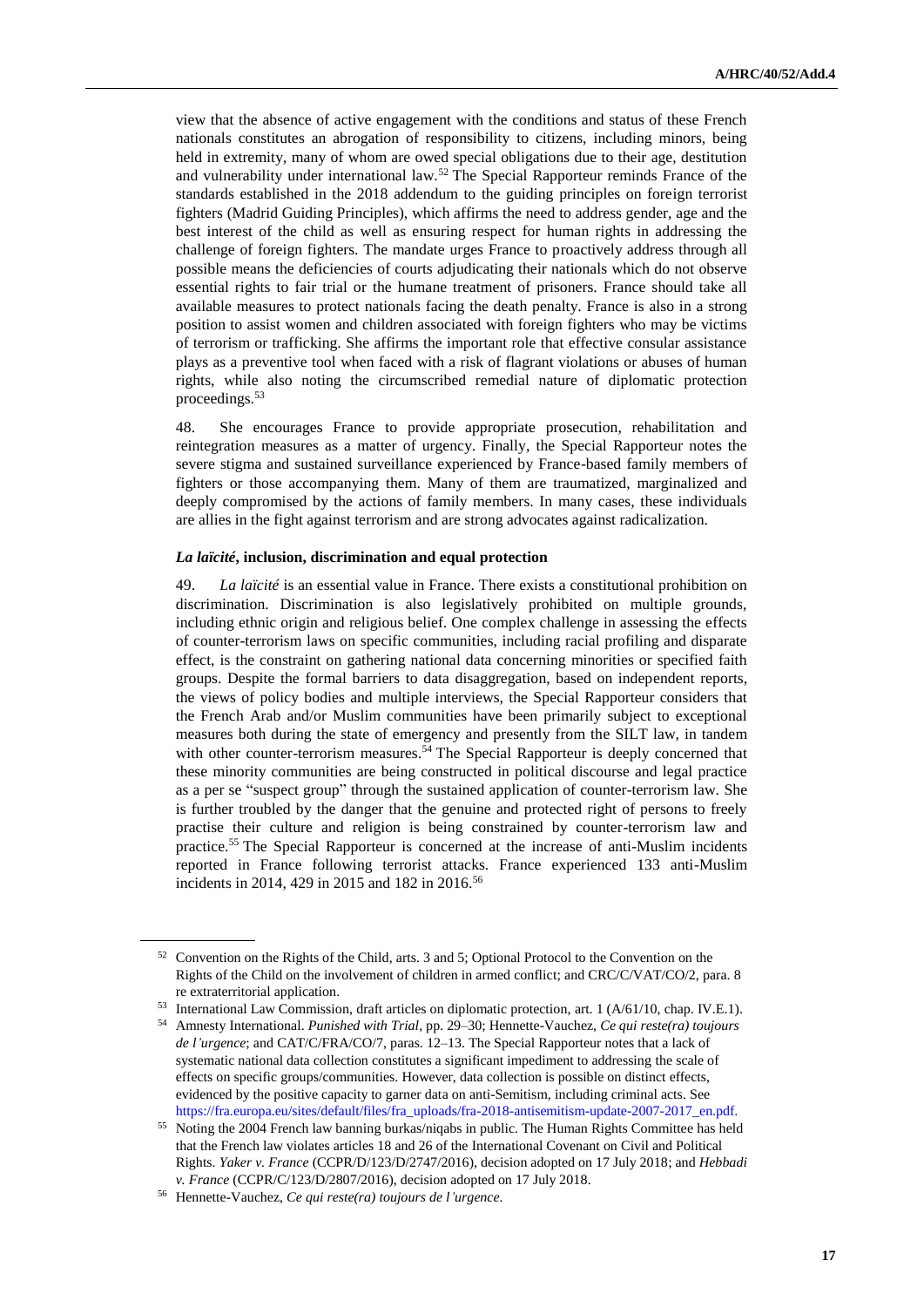view that the absence of active engagement with the conditions and status of these French nationals constitutes an abrogation of responsibility to citizens, including minors, being held in extremity, many of whom are owed special obligations due to their age, destitution and vulnerability under international law.<sup>52</sup> The Special Rapporteur reminds France of the standards established in the 2018 addendum to the guiding principles on foreign terrorist fighters (Madrid Guiding Principles), which affirms the need to address gender, age and the best interest of the child as well as ensuring respect for human rights in addressing the challenge of foreign fighters. The mandate urges France to proactively address through all possible means the deficiencies of courts adjudicating their nationals which do not observe essential rights to fair trial or the humane treatment of prisoners. France should take all available measures to protect nationals facing the death penalty. France is also in a strong position to assist women and children associated with foreign fighters who may be victims of terrorism or trafficking. She affirms the important role that effective consular assistance plays as a preventive tool when faced with a risk of flagrant violations or abuses of human rights, while also noting the circumscribed remedial nature of diplomatic protection proceedings.<sup>53</sup>

48. She encourages France to provide appropriate prosecution, rehabilitation and reintegration measures as a matter of urgency. Finally, the Special Rapporteur notes the severe stigma and sustained surveillance experienced by France-based family members of fighters or those accompanying them. Many of them are traumatized, marginalized and deeply compromised by the actions of family members. In many cases, these individuals are allies in the fight against terrorism and are strong advocates against radicalization.

#### *La laïcité***, inclusion, discrimination and equal protection**

49. *La laïcité* is an essential value in France. There exists a constitutional prohibition on discrimination. Discrimination is also legislatively prohibited on multiple grounds, including ethnic origin and religious belief. One complex challenge in assessing the effects of counter-terrorism laws on specific communities, including racial profiling and disparate effect, is the constraint on gathering national data concerning minorities or specified faith groups. Despite the formal barriers to data disaggregation, based on independent reports, the views of policy bodies and multiple interviews, the Special Rapporteur considers that the French Arab and/or Muslim communities have been primarily subject to exceptional measures both during the state of emergency and presently from the SILT law, in tandem with other counter-terrorism measures.<sup>54</sup> The Special Rapporteur is deeply concerned that these minority communities are being constructed in political discourse and legal practice as a per se "suspect group" through the sustained application of counter-terrorism law. She is further troubled by the danger that the genuine and protected right of persons to freely practise their culture and religion is being constrained by counter-terrorism law and practice.<sup>55</sup> The Special Rapporteur is concerned at the increase of anti-Muslim incidents reported in France following terrorist attacks. France experienced 133 anti-Muslim incidents in 2014, 429 in 2015 and 182 in 2016.<sup>56</sup>

<sup>52</sup> Convention on the Rights of the Child, arts. 3 and 5; Optional Protocol to the Convention on the Rights of the Child on the involvement of children in armed conflict; and CRC/C/VAT/CO/2, para. 8 re extraterritorial application.

<sup>53</sup> International Law Commission, draft articles on diplomatic protection, art. 1 (A/61/10, chap. IV.E.1).

<sup>54</sup> Amnesty International. *Punished with Trial*, pp. 29–30; Hennette-Vauchez, *Ce qui reste(ra) toujours de l'urgence*; and CAT/C/FRA/CO/7, paras. 12–13. The Special Rapporteur notes that a lack of systematic national data collection constitutes a significant impediment to addressing the scale of effects on specific groups/communities. However, data collection is possible on distinct effects, evidenced by the positive capacity to garner data on anti-Semitism, including criminal acts. See [https://fra.europa.eu/sites/default/files/fra\\_uploads/fra-2018-antisemitism-update-2007-2017\\_en.pdf.](https://fra.europa.eu/sites/default/files/fra_uploads/fra-2018-antisemitism-update-2007-2017_en.pdf.)

<sup>&</sup>lt;sup>55</sup> Noting the 2004 French law banning burkas/niqabs in public. The Human Rights Committee has held that the French law violates articles 18 and 26 of the International Covenant on Civil and Political Rights. *Yaker v. France* (CCPR/D/123/D/2747/2016), decision adopted on 17 July 2018; and *Hebbadi v. France* (CCPR/C/123/D/2807/2016), decision adopted on 17 July 2018.

<sup>56</sup> Hennette-Vauchez, *Ce qui reste(ra) toujours de l'urgence*.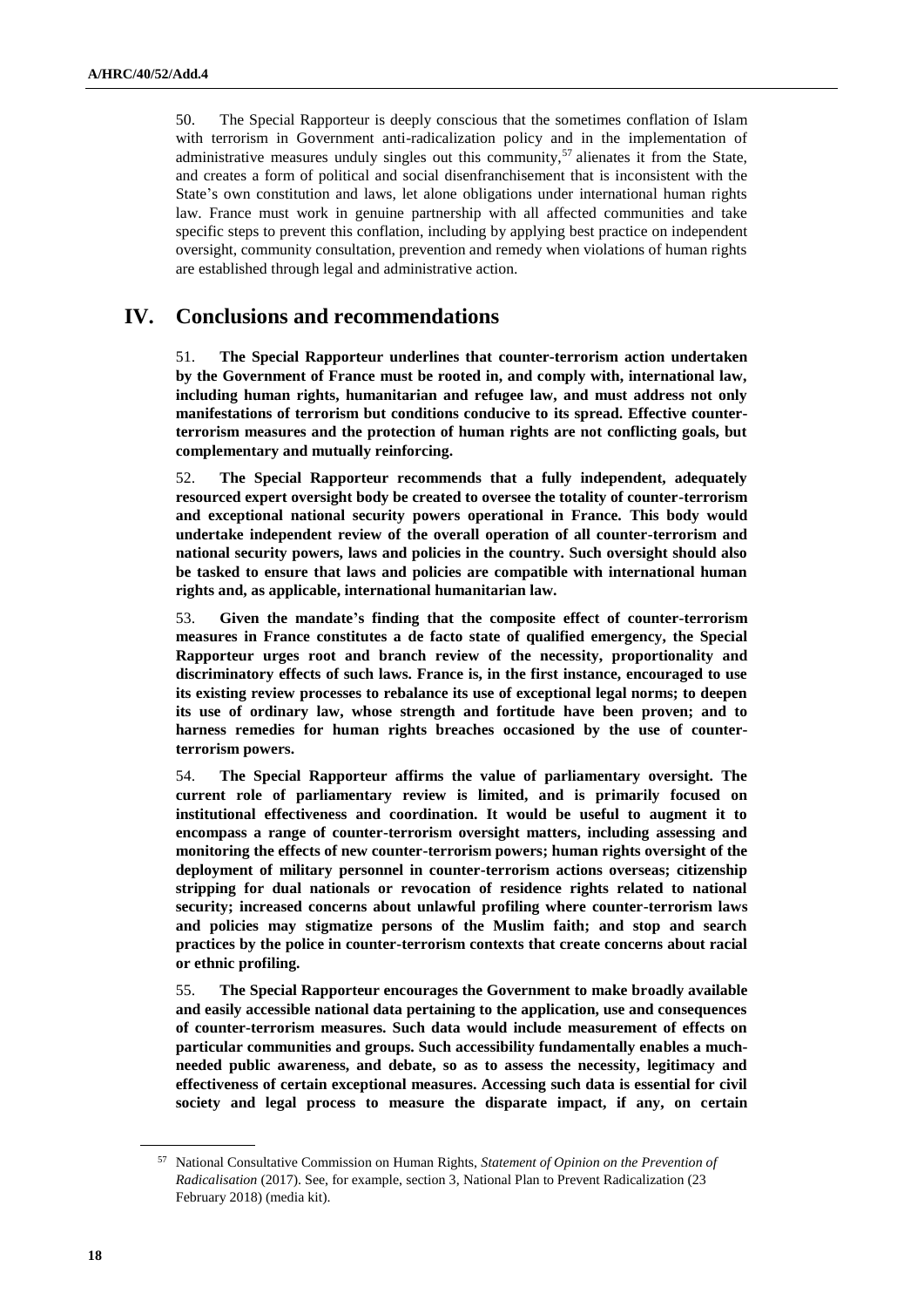50. The Special Rapporteur is deeply conscious that the sometimes conflation of Islam with terrorism in Government anti-radicalization policy and in the implementation of administrative measures unduly singles out this community,<sup>57</sup> alienates it from the State, and creates a form of political and social disenfranchisement that is inconsistent with the State's own constitution and laws, let alone obligations under international human rights law. France must work in genuine partnership with all affected communities and take specific steps to prevent this conflation, including by applying best practice on independent oversight, community consultation, prevention and remedy when violations of human rights are established through legal and administrative action.

## **IV. Conclusions and recommendations**

51. **The Special Rapporteur underlines that counter-terrorism action undertaken by the Government of France must be rooted in, and comply with, international law, including human rights, humanitarian and refugee law, and must address not only manifestations of terrorism but conditions conducive to its spread. Effective counterterrorism measures and the protection of human rights are not conflicting goals, but complementary and mutually reinforcing.**

52. **The Special Rapporteur recommends that a fully independent, adequately resourced expert oversight body be created to oversee the totality of counter-terrorism and exceptional national security powers operational in France. This body would undertake independent review of the overall operation of all counter-terrorism and national security powers, laws and policies in the country. Such oversight should also be tasked to ensure that laws and policies are compatible with international human rights and, as applicable, international humanitarian law.** 

53. **Given the mandate's finding that the composite effect of counter-terrorism measures in France constitutes a de facto state of qualified emergency, the Special Rapporteur urges root and branch review of the necessity, proportionality and discriminatory effects of such laws. France is, in the first instance, encouraged to use its existing review processes to rebalance its use of exceptional legal norms; to deepen its use of ordinary law, whose strength and fortitude have been proven; and to harness remedies for human rights breaches occasioned by the use of counterterrorism powers.** 

54. **The Special Rapporteur affirms the value of parliamentary oversight. The current role of parliamentary review is limited, and is primarily focused on institutional effectiveness and coordination. It would be useful to augment it to encompass a range of counter-terrorism oversight matters, including assessing and monitoring the effects of new counter-terrorism powers; human rights oversight of the deployment of military personnel in counter-terrorism actions overseas; citizenship stripping for dual nationals or revocation of residence rights related to national security; increased concerns about unlawful profiling where counter-terrorism laws and policies may stigmatize persons of the Muslim faith; and stop and search practices by the police in counter-terrorism contexts that create concerns about racial or ethnic profiling.**

55. **The Special Rapporteur encourages the Government to make broadly available and easily accessible national data pertaining to the application, use and consequences of counter-terrorism measures. Such data would include measurement of effects on particular communities and groups. Such accessibility fundamentally enables a muchneeded public awareness, and debate, so as to assess the necessity, legitimacy and effectiveness of certain exceptional measures. Accessing such data is essential for civil society and legal process to measure the disparate impact, if any, on certain** 

<sup>57</sup> National Consultative Commission on Human Rights, *Statement of Opinion on the Prevention of Radicalisation* (2017). See, for example, section 3, National Plan to Prevent Radicalization (23 February 2018) (media kit).